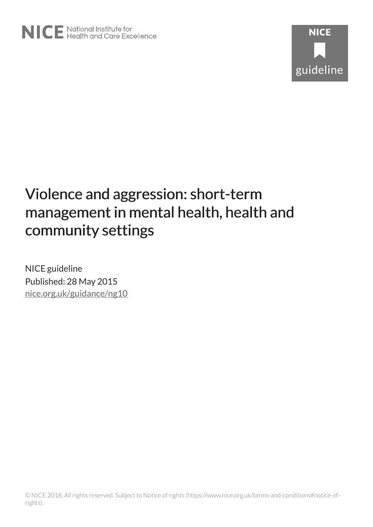

NICE guideline Published: 28 May 2015 [nice.org.uk/guidance/ng10](http://nice.org.uk/guidance/ng10)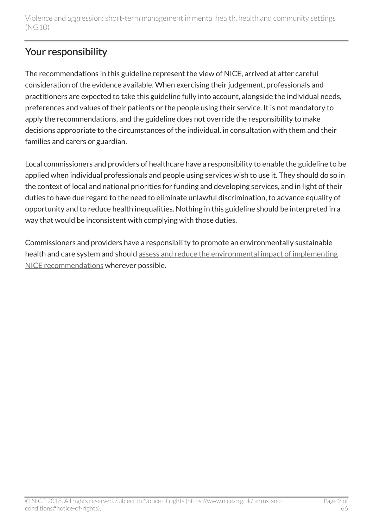## Your responsibility

The recommendations in this guideline represent the view of NICE, arrived at after careful consideration of the evidence available. When exercising their judgement, professionals and practitioners are expected to take this guideline fully into account, alongside the individual needs, preferences and values of their patients or the people using their service. It is not mandatory to apply the recommendations, and the guideline does not override the responsibility to make decisions appropriate to the circumstances of the individual, in consultation with them and their families and carers or guardian.

Local commissioners and providers of healthcare have a responsibility to enable the guideline to be applied when individual professionals and people using services wish to use it. They should do so in the context of local and national priorities for funding and developing services, and in light of their duties to have due regard to the need to eliminate unlawful discrimination, to advance equality of opportunity and to reduce health inequalities. Nothing in this guideline should be interpreted in a way that would be inconsistent with complying with those duties.

Commissioners and providers have a responsibility to promote an environmentally sustainable health and care system and should [assess and reduce the environmental impact of implementing](https://www.nice.org.uk/about/who-we-are/sustainability) [NICE recommendations](https://www.nice.org.uk/about/who-we-are/sustainability) wherever possible.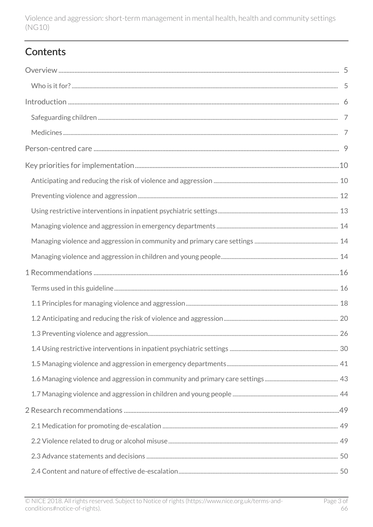## **Contents**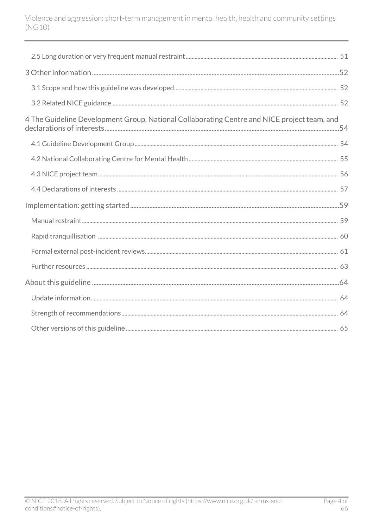| 4 The Guideline Development Group, National Collaborating Centre and NICE project team, and |
|---------------------------------------------------------------------------------------------|
|                                                                                             |
|                                                                                             |
|                                                                                             |
|                                                                                             |
|                                                                                             |
|                                                                                             |
|                                                                                             |
|                                                                                             |
|                                                                                             |
|                                                                                             |
|                                                                                             |
|                                                                                             |
|                                                                                             |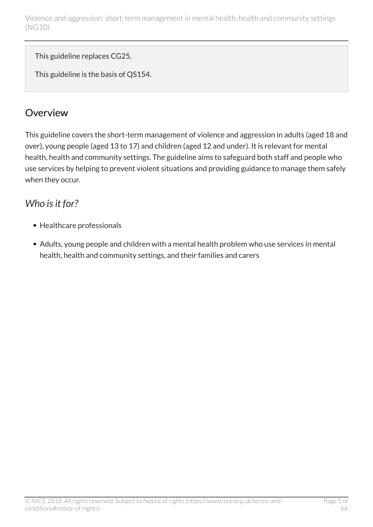This guideline replaces CG25.

This guideline is the basis of QS154.

## <span id="page-4-0"></span>**Overview**

This guideline covers the short-term management of violence and aggression in adults (aged 18 and over), young people (aged 13 to 17) and children (aged 12 and under). It is relevant for mental health, health and community settings. The guideline aims to safeguard both staff and people who use services by helping to prevent violent situations and providing guidance to manage them safely when they occur.

## <span id="page-4-1"></span>*Who is it for?*

- Healthcare professionals
- Adults, young people and children with a mental health problem who use services in mental health, health and community settings, and their families and carers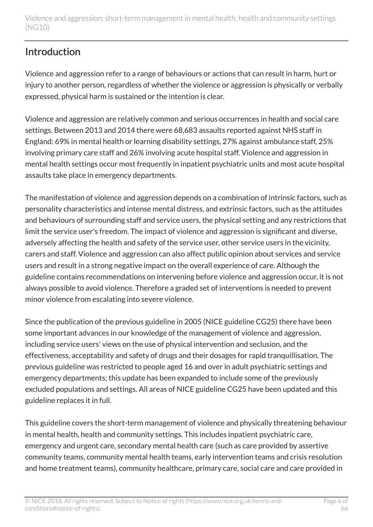## <span id="page-5-0"></span>**Introduction**

Violence and aggression refer to a range of behaviours or actions that can result in harm, hurt or injury to another person, regardless of whether the violence or aggression is physically or verbally expressed, physical harm is sustained or the intention is clear.

Violence and aggression are relatively common and serious occurrences in health and social care settings. Between 2013 and 2014 there were 68,683 assaults reported against NHS staff in England: 69% in mental health or learning disability settings, 27% against ambulance staff, 25% involving primary care staff and 26% involving acute hospital staff. Violence and aggression in mental health settings occur most frequently in inpatient psychiatric units and most acute hospital assaults take place in emergency departments.

The manifestation of violence and aggression depends on a combination of intrinsic factors, such as personality characteristics and intense mental distress, and extrinsic factors, such as the attitudes and behaviours of surrounding staff and service users, the physical setting and any restrictions that limit the service user's freedom. The impact of violence and aggression is significant and diverse, adversely affecting the health and safety of the service user, other service users in the vicinity, carers and staff. Violence and aggression can also affect public opinion about services and service users and result in a strong negative impact on the overall experience of care. Although the guideline contains recommendations on intervening before violence and aggression occur, it is not always possible to avoid violence. Therefore a graded set of interventions is needed to prevent minor violence from escalating into severe violence.

Since the publication of the previous guideline in 2005 (NICE guideline CG25) there have been some important advances in our knowledge of the management of violence and aggression, including service users' views on the use of physical intervention and seclusion, and the effectiveness, acceptability and safety of drugs and their dosages for rapid tranquillisation. The previous guideline was restricted to people aged 16 and over in adult psychiatric settings and emergency departments; this update has been expanded to include some of the previously excluded populations and settings. All areas of NICE guideline CG25 have been updated and this guideline replaces it in full.

This guideline covers the short-term management of violence and physically threatening behaviour in mental health, health and community settings. This includes inpatient psychiatric care, emergency and urgent care, secondary mental health care (such as care provided by assertive community teams, community mental health teams, early intervention teams and crisis resolution and home treatment teams), community healthcare, primary care, social care and care provided in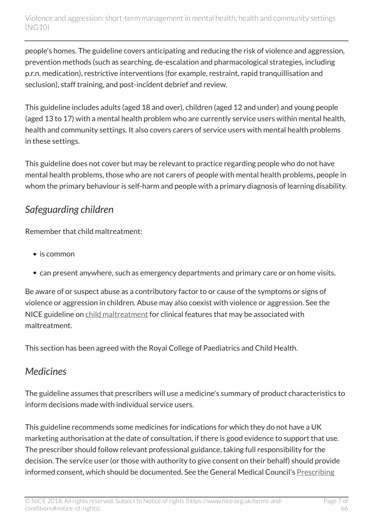people's homes. The guideline covers anticipating and reducing the risk of violence and aggression, prevention methods (such as searching, de-escalation and pharmacological strategies, including p.r.n. medication), restrictive interventions (for example, restraint, rapid tranquillisation and seclusion), staff training, and post-incident debrief and review.

This guideline includes adults (aged 18 and over), children (aged 12 and under) and young people (aged 13 to 17) with a mental health problem who are currently service users within mental health, health and community settings. It also covers carers of service users with mental health problems in these settings.

This guideline does not cover but may be relevant to practice regarding people who do not have mental health problems, those who are not carers of people with mental health problems, people in whom the primary behaviour is self-harm and people with a primary diagnosis of learning disability.

## <span id="page-6-0"></span>*Safeguarding children*

Remember that child maltreatment:

- is common
- can present anywhere, such as emergency departments and primary care or on home visits.

Be aware of or suspect abuse as a contributory factor to or cause of the symptoms or signs of violence or aggression in children. Abuse may also coexist with violence or aggression. See the NICE guideline on [child maltreatment](http://www.nice.org.uk/guidance/cg89) for clinical features that may be associated with maltreatment.

This section has been agreed with the Royal College of Paediatrics and Child Health.

## <span id="page-6-1"></span>*Medicines*

The guideline assumes that prescribers will use a medicine's summary of product characteristics to inform decisions made with individual service users.

This guideline recommends some medicines for indications for which they do not have a UK marketing authorisation at the date of consultation, if there is good evidence to support that use. The prescriber should follow relevant professional guidance, taking full responsibility for the decision. The service user (or those with authority to give consent on their behalf) should provide informed consent, which should be documented. See the General Medical Council's [Prescribing](http://www.gmc-uk.org/guidance/ethical_guidance/14327.asp)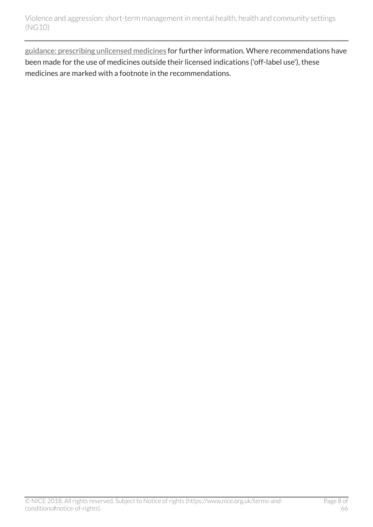[guidance: prescribing unlicensed medicines](http://www.gmc-uk.org/guidance/ethical_guidance/14327.asp) for further information. Where recommendations have been made for the use of medicines outside their licensed indications ('off-label use'), these medicines are marked with a footnote in the recommendations.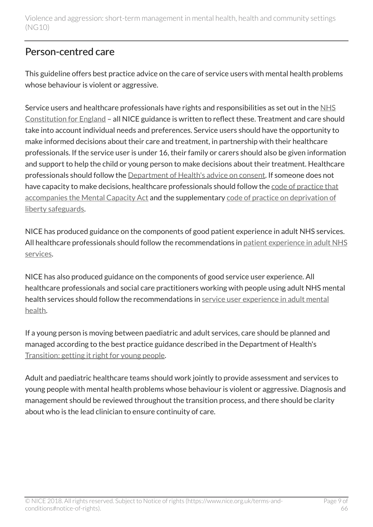## <span id="page-8-0"></span>Person-centred care

This guideline offers best practice advice on the care of service users with mental health problems whose behaviour is violent or aggressive.

Service users and healthcare professionals have rights and responsibilities as set out in the [NHS](https://www.gov.uk/government/publications/the-nhs-constitution-for-england) [Constitution for England](https://www.gov.uk/government/publications/the-nhs-constitution-for-england) – all NICE guidance is written to reflect these. Treatment and care should take into account individual needs and preferences. Service users should have the opportunity to make informed decisions about their care and treatment, in partnership with their healthcare professionals. If the service user is under 16, their family or carers should also be given information and support to help the child or young person to make decisions about their treatment. Healthcare professionals should follow the [Department of Health's advice on consent](https://www.gov.uk/government/publications/reference-guide-to-consent-for-examination-or-treatment-second-edition). If someone does not have capacity to make decisions, healthcare professionals should follow the [code of practice that](http://www.justice.gov.uk/protecting-the-vulnerable/mental-capacity-act) [accompanies the Mental Capacity Act](http://www.justice.gov.uk/protecting-the-vulnerable/mental-capacity-act) and the supplementary [code of practice on deprivation of](http://webarchive.nationalarchives.gov.uk/20130107105354/http:/www.dh.gov.uk/en/Publicationsandstatistics/Publications/PublicationsPolicyAndGuidance/DH_085476) [liberty safeguards](http://webarchive.nationalarchives.gov.uk/20130107105354/http:/www.dh.gov.uk/en/Publicationsandstatistics/Publications/PublicationsPolicyAndGuidance/DH_085476).

NICE has produced guidance on the components of good patient experience in adult NHS services. All healthcare professionals should follow the recommendations in [patient experience in adult NHS](http://www.nice.org.uk/guidance/cg138) [services.](http://www.nice.org.uk/guidance/cg138)

NICE has also produced guidance on the components of good service user experience. All healthcare professionals and social care practitioners working with people using adult NHS mental health services should follow the recommendations in [service user experience in adult mental](http://www.nice.org.uk/guidance/cg136) [health](http://www.nice.org.uk/guidance/cg136).

If a young person is moving between paediatric and adult services, care should be planned and managed according to the best practice guidance described in the Department of Health's [Transition: getting it right for young people.](http://webarchive.nationalarchives.gov.uk/20130107105354/http:/www.dh.gov.uk/en/Publicationsandstatistics/Publications/PublicationsPolicyAndGuidance/DH_4132145)

Adult and paediatric healthcare teams should work jointly to provide assessment and services to young people with mental health problems whose behaviour is violent or aggressive. Diagnosis and management should be reviewed throughout the transition process, and there should be clarity about who is the lead clinician to ensure continuity of care.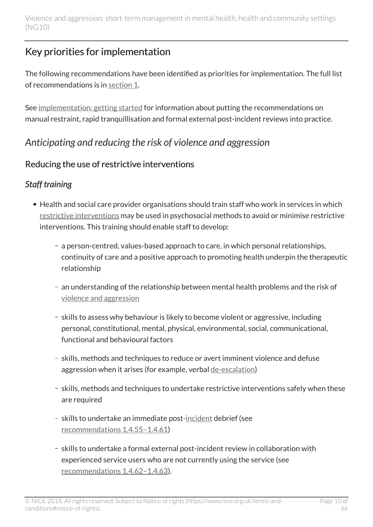## <span id="page-9-0"></span>Key priorities for implementation

The following recommendations have been identified as priorities for implementation. The full list of recommendations is in [section](http://live-publications.nice.org.uk/recommendations#principles-for-managing-violence-and-aggression) 1.

See [implementation: getting started](http://live-publications.nice.org.uk/implementation-getting-started#implementation-getting-started) for information about putting the recommendations on manual restraint, rapid tranquillisation and formal external post-incident reviews into practice.

## <span id="page-9-1"></span>*Anticipating and reducing the risk of violence and aggression*

## Reducing the use of restrictive interventions

## *Staff training*

- Health and social care provider organisations should train staff who work in services in which [restrictive interventions](http://live-publications.nice.org.uk/recommendations#terms-used-in-this-guideline) may be used in psychosocial methods to avoid or minimise restrictive interventions. This training should enable staff to develop:
	- a person-centred, values-based approach to care, in which personal relationships, continuity of care and a positive approach to promoting health underpin the therapeutic relationship
	- an understanding of the relationship between mental health problems and the risk of [violence and aggression](http://live-publications.nice.org.uk/recommendations#terms-used-in-this-guideline)
	- skills to assess why behaviour is likely to become violent or aggressive, including personal, constitutional, mental, physical, environmental, social, communicational, functional and behavioural factors
	- skills, methods and techniques to reduce or avert imminent violence and defuse aggression when it arises (for example, verbal [de-escalation\)](http://live-publications.nice.org.uk/recommendations#terms-used-in-this-guideline)
	- skills, methods and techniques to undertake restrictive interventions safely when these are required
	- skills to undertake an immediate post[-incident](http://live-publications.nice.org.uk/recommendations#terms-used-in-this-guideline) debrief (see [recommendations](http://live-publications.nice.org.uk/recommendations#_Ref395093591) 1.4.55–1.4.61)
	- skills to undertake a formal external post-incident review in collaboration with experienced service users who are not currently using the service (see [recommendations](http://live-publications.nice.org.uk/recommendations#_Ref395093591) 1.4.62–1.4.63).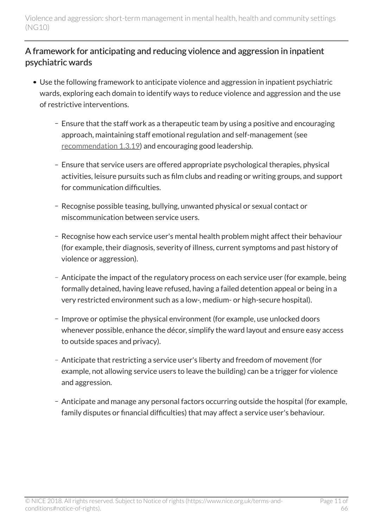## A framework for anticipating and reducing violence and aggression in inpatient psychiatric wards

- Use the following framework to anticipate violence and aggression in inpatient psychiatric wards, exploring each domain to identify ways to reduce violence and aggression and the use of restrictive interventions.
	- Ensure that the staff work as a therapeutic team by using a positive and encouraging approach, maintaining staff emotional regulation and self-management (see [recommendation 1.3.19](http://live-publications.nice.org.uk/recommendations#deescalation-techniques)) and encouraging good leadership.
	- Ensure that service users are offered appropriate psychological therapies, physical activities, leisure pursuits such as film clubs and reading or writing groups, and support for communication difficulties.
	- Recognise possible teasing, bullying, unwanted physical or sexual contact or miscommunication between service users.
	- Recognise how each service user's mental health problem might affect their behaviour (for example, their diagnosis, severity of illness, current symptoms and past history of violence or aggression).
	- Anticipate the impact of the regulatory process on each service user (for example, being formally detained, having leave refused, having a failed detention appeal or being in a very restricted environment such as a low-, medium- or high-secure hospital).
	- Improve or optimise the physical environment (for example, use unlocked doors whenever possible, enhance the décor, simplify the ward layout and ensure easy access to outside spaces and privacy).
	- Anticipate that restricting a service user's liberty and freedom of movement (for example, not allowing service users to leave the building) can be a trigger for violence and aggression.
	- Anticipate and manage any personal factors occurring outside the hospital (for example, family disputes or financial difficulties) that may affect a service user's behaviour.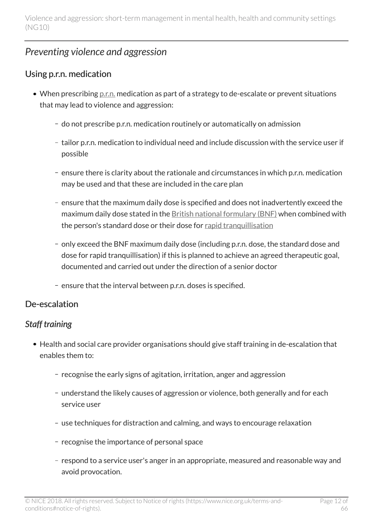## <span id="page-11-0"></span>*Preventing violence and aggression*

### Using p.r.n. medication

- When prescribing <u>[p.r.n.](http://live-publications.nice.org.uk/recommendations#terms-used-in-this-guideline)</u> medication as part of a strategy to de-escalate or prevent situations that may lead to violence and aggression:
	- do not prescribe p.r.n. medication routinely or automatically on admission
	- tailor p.r.n. medication to individual need and include discussion with the service user if possible
	- ensure there is clarity about the rationale and circumstances in which p.r.n. medication may be used and that these are included in the care plan
	- ensure that the maximum daily dose is specified and does not inadvertently exceed the maximum daily dose stated in the [British national formulary \(BNF\)](https://www.medicinescomplete.com/mc/bnf/current/) when combined with the person's standard dose or their dose for [rapid tranquillisation](http://live-publications.nice.org.uk/recommendations#terms-used-in-this-guideline)
	- only exceed the BNF maximum daily dose (including p.r.n. dose, the standard dose and dose for rapid tranquillisation) if this is planned to achieve an agreed therapeutic goal, documented and carried out under the direction of a senior doctor
	- ensure that the interval between p.r.n. doses is specified.

## De-escalation

## *Staff training*

- Health and social care provider organisations should give staff training in de-escalation that enables them to:
	- recognise the early signs of agitation, irritation, anger and aggression
	- understand the likely causes of aggression or violence, both generally and for each service user
	- use techniques for distraction and calming, and ways to encourage relaxation
	- recognise the importance of personal space
	- respond to a service user's anger in an appropriate, measured and reasonable way and avoid provocation.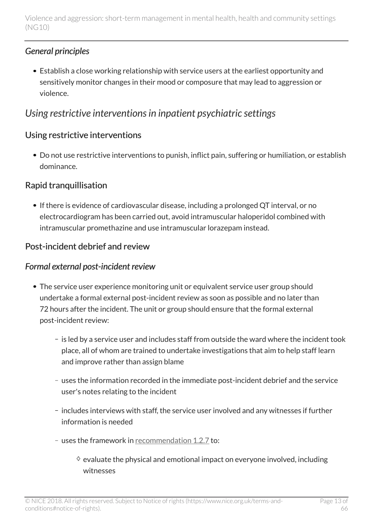## *General principles*

Establish a close working relationship with service users at the earliest opportunity and sensitively monitor changes in their mood or composure that may lead to aggression or violence.

## <span id="page-12-0"></span>*Using restrictive interventions in inpatient psychiatric settings*

## Using restrictive interventions

Do not use restrictive interventions to punish, inflict pain, suffering or humiliation, or establish dominance.

## Rapid tranquillisation

• If there is evidence of cardiovascular disease, including a prolonged QT interval, or no electrocardiogram has been carried out, avoid intramuscular haloperidol combined with intramuscular promethazine and use intramuscular lorazepam instead.

## Post-incident debrief and review

### *Formal external post-incident review*

- The service user experience monitoring unit or equivalent service user group should undertake a formal external post-incident review as soon as possible and no later than 72 hours after the incident. The unit or group should ensure that the formal external post-incident review:
	- is led by a service user and includes staff from outside the ward where the incident took place, all of whom are trained to undertake investigations that aim to help staff learn and improve rather than assign blame
	- uses the information recorded in the immediate post-incident debrief and the service user's notes relating to the incident
	- includes interviews with staff, the service user involved and any witnesses if further information is needed
	- uses the framework in [recommendation](http://live-publications.nice.org.uk/recommendations#_Ref398629147) 1.2.7 to:
		- $\Diamond$  evaluate the physical and emotional impact on everyone involved, including witnesses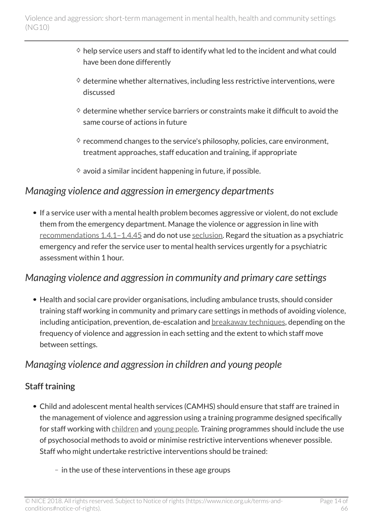- $\Diamond$  help service users and staff to identify what led to the incident and what could have been done differently
- $\Diamond$  determine whether alternatives, including less restrictive interventions, were discussed
- $\Diamond$  determine whether service barriers or constraints make it difficult to avoid the same course of actions in future
- $\Diamond$  recommend changes to the service's philosophy, policies, care environment, treatment approaches, staff education and training, if appropriate
- $\diamond$  avoid a similar incident happening in future, if possible.

## <span id="page-13-0"></span>*Managing violence and aggression in emergency departments*

• If a service user with a mental health problem becomes aggressive or violent, do not exclude them from the emergency department. Manage the violence or aggression in line with [recommendations](http://live-publications.nice.org.uk/recommendations#_Ref396990971) 1.4.1–1.4.45 and do not use [seclusion](http://live-publications.nice.org.uk/recommendations#terms-used-in-this-guideline). Regard the situation as a psychiatric emergency and refer the service user to mental health services urgently for a psychiatric assessment within 1 hour.

## <span id="page-13-1"></span>*Managing violence and aggression in community and primary care settings*

Health and social care provider organisations, including ambulance trusts, should consider training staff working in community and primary care settings in methods of avoiding violence, including anticipation, prevention, de-escalation and **breakaway** techniques, depending on the frequency of violence and aggression in each setting and the extent to which staff move between settings.

## <span id="page-13-2"></span>*Managing violence and aggression in children and young people*

### Staff training

- Child and adolescent mental health services (CAMHS) should ensure that staff are trained in the management of violence and aggression using a training programme designed specifically for staff working with [children](http://live-publications.nice.org.uk/recommendations#terms-used-in-this-guideline) and [young people](http://live-publications.nice.org.uk/recommendations#terms-used-in-this-guideline). Training programmes should include the use of psychosocial methods to avoid or minimise restrictive interventions whenever possible. Staff who might undertake restrictive interventions should be trained:
	- $-$  in the use of these interventions in these age groups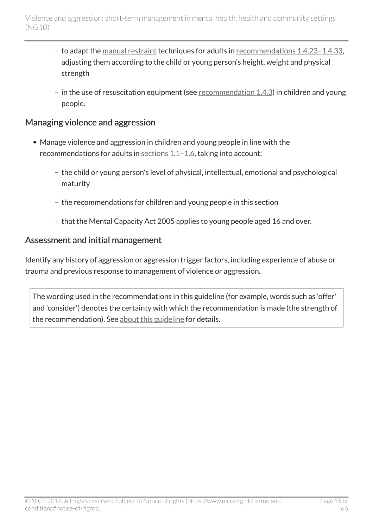- to adapt the [manual restraint](http://live-publications.nice.org.uk/recommendations#terms-used-in-this-guideline) techniques for adults in [recommendations](http://live-publications.nice.org.uk/recommendations#_Ref411525530) 1.4.23-1.4.33, adjusting them according to the child or young person's height, weight and physical strength
- $-$  in the use of resuscitation equipment (see [recommendation](http://live-publications.nice.org.uk/recommendations#staffing-and-equipment) 1.4.3) in children and young people.

#### Managing violence and aggression

- Manage violence and aggression in children and young people in line with the recommendations for adults in [sections](http://live-publications.nice.org.uk/recommendations#principles-for-managing-violence-and-aggression) 1.1-1.6, taking into account:
	- the child or young person's level of physical, intellectual, emotional and psychological maturity
	- the recommendations for children and young people in this section
	- that the Mental Capacity Act 2005 applies to young people aged 16 and over.

#### Assessment and initial management

Identify any history of aggression or aggression trigger factors, including experience of abuse or trauma and previous response to management of violence or aggression.

The wording used in the recommendations in this guideline (for example, words such as 'offer' and 'consider') denotes the certainty with which the recommendation is made (the strength of the recommendation). See [about this guideline](http://live-publications.nice.org.uk/about-this-guideline#about-this-guideline) for details.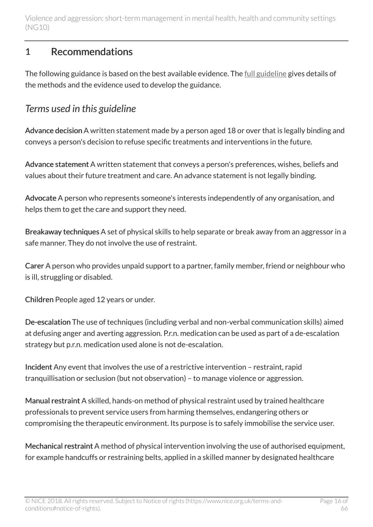## <span id="page-15-0"></span>1 Recommendations

The following guidance is based on the best available evidence. The [full guideline](http://www.nice.org.uk/guidance/ng10/evidence) gives details of the methods and the evidence used to develop the guidance.

## <span id="page-15-1"></span>*Terms used in this guideline*

Advance decision A written statement made by a person aged 18 or over that is legally binding and conveys a person's decision to refuse specific treatments and interventions in the future.

Advance statement A written statement that conveys a person's preferences, wishes, beliefs and values about their future treatment and care. An advance statement is not legally binding.

Advocate A person who represents someone's interests independently of any organisation, and helps them to get the care and support they need.

Breakaway techniques A set of physical skills to help separate or break away from an aggressor in a safe manner. They do not involve the use of restraint.

Carer A person who provides unpaid support to a partner, family member, friend or neighbour who is ill, struggling or disabled.

Children People aged 12 years or under.

De-escalation The use of techniques (including verbal and non-verbal communication skills) aimed at defusing anger and averting aggression. P.r.n. medication can be used as part of a de-escalation strategy but p.r.n. medication used alone is not de-escalation.

Incident Any event that involves the use of a restrictive intervention – restraint, rapid tranquillisation or seclusion (but not observation) – to manage violence or aggression.

Manual restraint A skilled, hands-on method of physical restraint used by trained healthcare professionals to prevent service users from harming themselves, endangering others or compromising the therapeutic environment. Its purpose is to safely immobilise the service user.

Mechanical restraint A method of physical intervention involving the use of authorised equipment, for example handcuffs or restraining belts, applied in a skilled manner by designated healthcare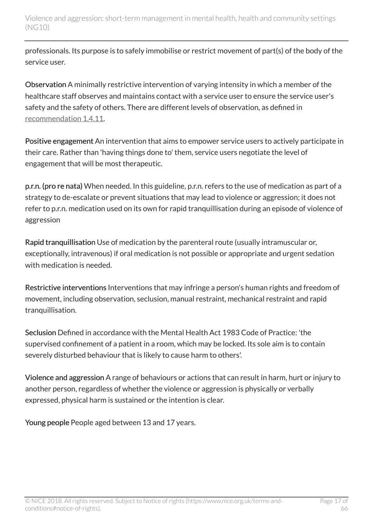professionals. Its purpose is to safely immobilise or restrict movement of part(s) of the body of the service user.

Observation A minimally restrictive intervention of varying intensity in which a member of the healthcare staff observes and maintains contact with a service user to ensure the service user's safety and the safety of others. There are different levels of observation, as defined in [recommendation](http://live-publications.nice.org.uk/recommendations#_Ref398644986) 1.4.11.

Positive engagement An intervention that aims to empower service users to actively participate in their care. Rather than 'having things done to' them, service users negotiate the level of engagement that will be most therapeutic.

p.r.n. (pro re nata) When needed. In this guideline, p.r.n. refers to the use of medication as part of a strategy to de-escalate or prevent situations that may lead to violence or aggression; it does not refer to p.r.n. medication used on its own for rapid tranquillisation during an episode of violence of aggression

Rapid tranquillisation Use of medication by the parenteral route (usually intramuscular or, exceptionally, intravenous) if oral medication is not possible or appropriate and urgent sedation with medication is needed.

Restrictive interventions Interventions that may infringe a person's human rights and freedom of movement, including observation, seclusion, manual restraint, mechanical restraint and rapid tranquillisation.

Seclusion Defined in accordance with the Mental Health Act 1983 Code of Practice: 'the supervised confinement of a patient in a room, which may be locked. Its sole aim is to contain severely disturbed behaviour that is likely to cause harm to others'.

Violence and aggression A range of behaviours or actions that can result in harm, hurt or injury to another person, regardless of whether the violence or aggression is physically or verbally expressed, physical harm is sustained or the intention is clear.

Young people People aged between 13 and 17 years.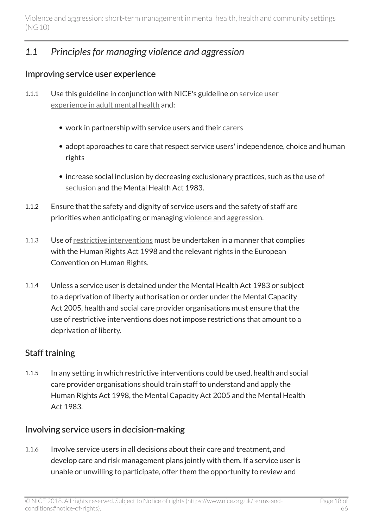## <span id="page-17-0"></span>*1.1 Principles for managing violence and aggression*

#### Improving service user experience

- 1.1.1 Use this guideline in conjunction with NICE's guideline on [service user](http://www.nice.org.uk/guidance/cg136) [experience in adult mental health](http://www.nice.org.uk/guidance/cg136) and:
	- work in partnership with service users and their [carers](http://live-publications.nice.org.uk/recommendations#terms-used-in-this-guideline)
	- adopt approaches to care that respect service users' independence, choice and human rights
	- increase social inclusion by decreasing exclusionary practices, such as the use of [seclusion](http://live-publications.nice.org.uk/recommendations#terms-used-in-this-guideline) and the Mental Health Act 1983.
- 1.1.2 Ensure that the safety and dignity of service users and the safety of staff are priorities when anticipating or managing [violence and aggression](http://live-publications.nice.org.uk/recommendations#terms-used-in-this-guideline).
- 1.1.3 Use of [restrictive interventions](http://live-publications.nice.org.uk/recommendations#terms-used-in-this-guideline) must be undertaken in a manner that complies with the Human Rights Act 1998 and the relevant rights in the European Convention on Human Rights.
- 1.1.4 Unless a service user is detained under the Mental Health Act 1983 or subject to a deprivation of liberty authorisation or order under the Mental Capacity Act 2005, health and social care provider organisations must ensure that the use of restrictive interventions does not impose restrictions that amount to a deprivation of liberty.

#### Staff training

1.1.5 In any setting in which restrictive interventions could be used, health and social care provider organisations should train staff to understand and apply the Human Rights Act 1998, the Mental Capacity Act 2005 and the Mental Health Act 1983.

#### Involving service users in decision-making

1.1.6 Involve service users in all decisions about their care and treatment, and develop care and risk management plans jointly with them. If a service user is unable or unwilling to participate, offer them the opportunity to review and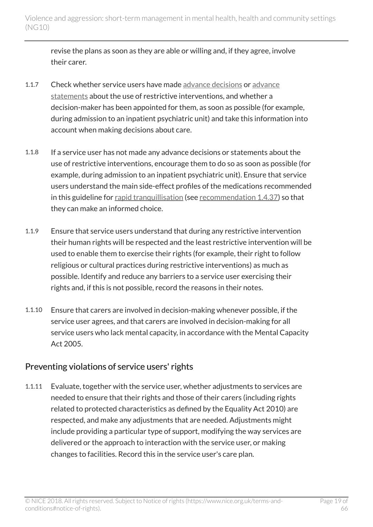revise the plans as soon as they are able or willing and, if they agree, involve their carer.

- 1.1.7 Check whether service users have made [advance decisions](http://live-publications.nice.org.uk/recommendations#terms-used-in-this-guideline) or [advance](http://live-publications.nice.org.uk/recommendations#terms-used-in-this-guideline) [statements](http://live-publications.nice.org.uk/recommendations#terms-used-in-this-guideline) about the use of restrictive interventions, and whether a decision-maker has been appointed for them, as soon as possible (for example, during admission to an inpatient psychiatric unit) and take this information into account when making decisions about care.
- 1.1.8 If a service user has not made any advance decisions or statements about the use of restrictive interventions, encourage them to do so as soon as possible (for example, during admission to an inpatient psychiatric unit). Ensure that service users understand the main side-effect profiles of the medications recommended in this guideline for [rapid tranquillisation](http://live-publications.nice.org.uk/recommendations#terms-used-in-this-guideline) (see [recommendation](http://live-publications.nice.org.uk/recommendations#_Ref398647936) 1.4.37) so that they can make an informed choice.
- 1.1.9 Ensure that service users understand that during any restrictive intervention their human rights will be respected and the least restrictive intervention will be used to enable them to exercise their rights (for example, their right to follow religious or cultural practices during restrictive interventions) as much as possible. Identify and reduce any barriers to a service user exercising their rights and, if this is not possible, record the reasons in their notes.
- 1.1.10 Ensure that carers are involved in decision-making whenever possible, if the service user agrees, and that carers are involved in decision-making for all service users who lack mental capacity, in accordance with the Mental Capacity Act 2005.

### Preventing violations of service users' rights

1.1.11 Evaluate, together with the service user, whether adjustments to services are needed to ensure that their rights and those of their carers (including rights related to protected characteristics as defined by the Equality Act 2010) are respected, and make any adjustments that are needed. Adjustments might include providing a particular type of support, modifying the way services are delivered or the approach to interaction with the service user, or making changes to facilities. Record this in the service user's care plan.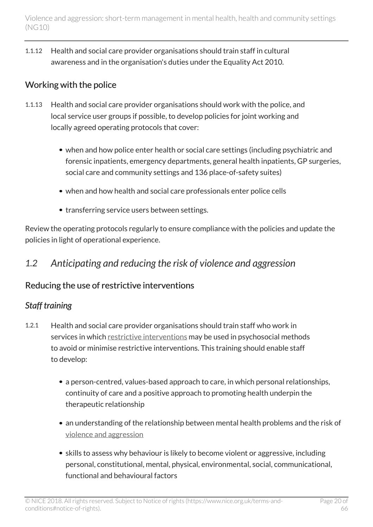1.1.12 Health and social care provider organisations should train staff in cultural awareness and in the organisation's duties under the Equality Act 2010.

## Working with the police

- 1.1.13 Health and social care provider organisations should work with the police, and local service user groups if possible, to develop policies for joint working and locally agreed operating protocols that cover:
	- when and how police enter health or social care settings (including psychiatric and forensic inpatients, emergency departments, general health inpatients, GP surgeries, social care and community settings and 136 place-of-safety suites)
	- when and how health and social care professionals enter police cells
	- transferring service users between settings.

Review the operating protocols regularly to ensure compliance with the policies and update the policies in light of operational experience.

## <span id="page-19-0"></span>*1.2 Anticipating and reducing the risk of violence and aggression*

### Reducing the use of restrictive interventions

### *Staff training*

- 1.2.1 Health and social care provider organisations should train staff who work in services in which [restrictive interventions](http://live-publications.nice.org.uk/recommendations#terms-used-in-this-guideline) may be used in psychosocial methods to avoid or minimise restrictive interventions. This training should enable staff to develop:
	- a person-centred, values-based approach to care, in which personal relationships, continuity of care and a positive approach to promoting health underpin the therapeutic relationship
	- an understanding of the relationship between mental health problems and the risk of [violence and aggression](http://live-publications.nice.org.uk/recommendations#terms-used-in-this-guideline)
	- skills to assess why behaviour is likely to become violent or aggressive, including personal, constitutional, mental, physical, environmental, social, communicational, functional and behavioural factors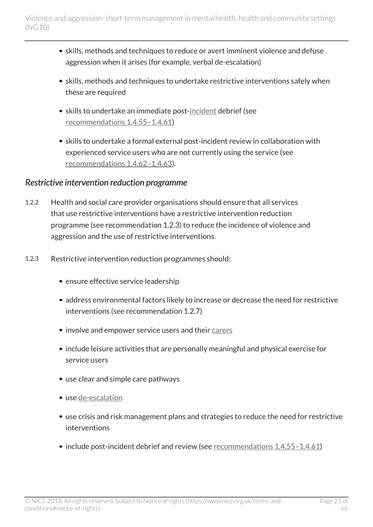- skills, methods and techniques to reduce or avert imminent violence and defuse aggression when it arises (for example, verbal de-escalation)
- skills, methods and techniques to undertake restrictive interventions safely when these are required
- skills to undertake an immediate post-[incident](http://live-publications.nice.org.uk/recommendations#terms-used-in-this-guideline) debrief (see [recommendations](http://live-publications.nice.org.uk/recommendations#_Ref395093591) 1.4.55–1.4.61)
- skills to undertake a formal external post-incident review in collaboration with experienced service users who are not currently using the service (see [recommendations](http://live-publications.nice.org.uk/recommendations#_Ref410220432) 1.4.62–1.4.63).

#### *Restrictive intervention reduction programme*

- 1.2.2 Health and social care provider organisations should ensure that all services that use restrictive interventions have a restrictive intervention reduction programme (see recommendation 1.2.3) to reduce the incidence of violence and aggression and the use of restrictive interventions.
- 1.2.3 Restrictive intervention reduction programmes should:
	- ensure effective service leadership
	- address environmental factors likely to increase or decrease the need for restrictive interventions (see recommendation 1.2.7)
	- involve and empower service users and their [carers](http://live-publications.nice.org.uk/recommendations#terms-used-in-this-guideline)
	- include leisure activities that are personally meaningful and physical exercise for service users
	- use clear and simple care pathways
	- use [de-escalation](http://live-publications.nice.org.uk/recommendations#terms-used-in-this-guideline)
	- use crisis and risk management plans and strategies to reduce the need for restrictive interventions
	- include post-incident debrief and review (see [recommendations](http://live-publications.nice.org.uk/recommendations#_Ref395093591) 1.4.55-1.4.61)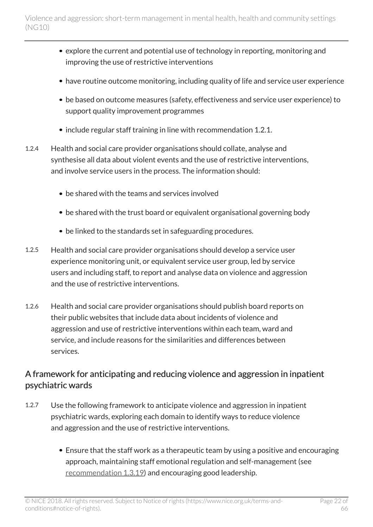- explore the current and potential use of technology in reporting, monitoring and improving the use of restrictive interventions
- have routine outcome monitoring, including quality of life and service user experience
- be based on outcome measures (safety, effectiveness and service user experience) to support quality improvement programmes
- include regular staff training in line with recommendation 1.2.1.
- 1.2.4 Health and social care provider organisations should collate, analyse and synthesise all data about violent events and the use of restrictive interventions, and involve service users in the process. The information should:
	- be shared with the teams and services involved
	- be shared with the trust board or equivalent organisational governing body
	- be linked to the standards set in safeguarding procedures.
- 1.2.5 Health and social care provider organisations should develop a service user experience monitoring unit, or equivalent service user group, led by service users and including staff, to report and analyse data on violence and aggression and the use of restrictive interventions.
- 1.2.6 Health and social care provider organisations should publish board reports on their public websites that include data about incidents of violence and aggression and use of restrictive interventions within each team, ward and service, and include reasons for the similarities and differences between services.

## A framework for anticipating and reducing violence and aggression in inpatient psychiatric wards

- 1.2.7 Use the following framework to anticipate violence and aggression in inpatient psychiatric wards, exploring each domain to identify ways to reduce violence and aggression and the use of restrictive interventions.
	- Ensure that the staff work as a therapeutic team by using a positive and encouraging approach, maintaining staff emotional regulation and self-management (see [recommendation](http://live-publications.nice.org.uk/recommendations#deescalation-techniques) 1.3.19) and encouraging good leadership.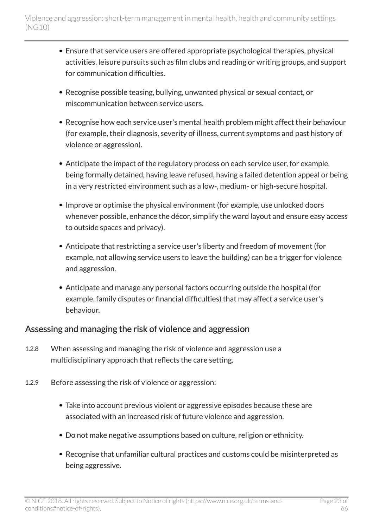- Ensure that service users are offered appropriate psychological therapies, physical activities, leisure pursuits such as film clubs and reading or writing groups, and support for communication difficulties.
- Recognise possible teasing, bullying, unwanted physical or sexual contact, or miscommunication between service users.
- Recognise how each service user's mental health problem might affect their behaviour (for example, their diagnosis, severity of illness, current symptoms and past history of violence or aggression).
- Anticipate the impact of the regulatory process on each service user, for example, being formally detained, having leave refused, having a failed detention appeal or being in a very restricted environment such as a low-, medium- or high-secure hospital.
- Improve or optimise the physical environment (for example, use unlocked doors whenever possible, enhance the décor, simplify the ward layout and ensure easy access to outside spaces and privacy).
- Anticipate that restricting a service user's liberty and freedom of movement (for example, not allowing service users to leave the building) can be a trigger for violence and aggression.
- Anticipate and manage any personal factors occurring outside the hospital (for example, family disputes or financial difficulties) that may affect a service user's behaviour.

#### Assessing and managing the risk of violence and aggression

- 1.2.8 When assessing and managing the risk of violence and aggression use a multidisciplinary approach that reflects the care setting.
- 1.2.9 Before assessing the risk of violence or aggression:
	- Take into account previous violent or aggressive episodes because these are associated with an increased risk of future violence and aggression.
	- Do not make negative assumptions based on culture, religion or ethnicity.
	- Recognise that unfamiliar cultural practices and customs could be misinterpreted as being aggressive.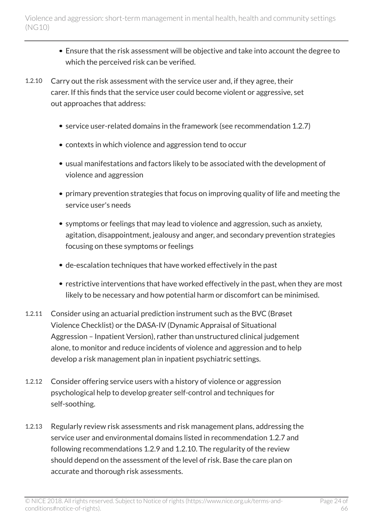- Ensure that the risk assessment will be objective and take into account the degree to which the perceived risk can be verified.
- 1.2.10 Carry out the risk assessment with the service user and, if they agree, their carer. If this finds that the service user could become violent or aggressive, set out approaches that address:
	- service user-related domains in the framework (see recommendation 1.2.7)
	- contexts in which violence and aggression tend to occur
	- usual manifestations and factors likely to be associated with the development of violence and aggression
	- primary prevention strategies that focus on improving quality of life and meeting the service user's needs
	- symptoms or feelings that may lead to violence and aggression, such as anxiety, agitation, disappointment, jealousy and anger, and secondary prevention strategies focusing on these symptoms or feelings
	- de-escalation techniques that have worked effectively in the past
	- restrictive interventions that have worked effectively in the past, when they are most likely to be necessary and how potential harm or discomfort can be minimised.
- 1.2.11 Consider using an actuarial prediction instrument such as the BVC (Brøset Violence Checklist) or the DASA-IV (Dynamic Appraisal of Situational Aggression – Inpatient Version), rather than unstructured clinical judgement alone, to monitor and reduce incidents of violence and aggression and to help develop a risk management plan in inpatient psychiatric settings.
- 1.2.12 Consider offering service users with a history of violence or aggression psychological help to develop greater self-control and techniques for self-soothing.
- 1.2.13 Regularly review risk assessments and risk management plans, addressing the service user and environmental domains listed in recommendation 1.2.7 and following recommendations 1.2.9 and 1.2.10. The regularity of the review should depend on the assessment of the level of risk. Base the care plan on accurate and thorough risk assessments.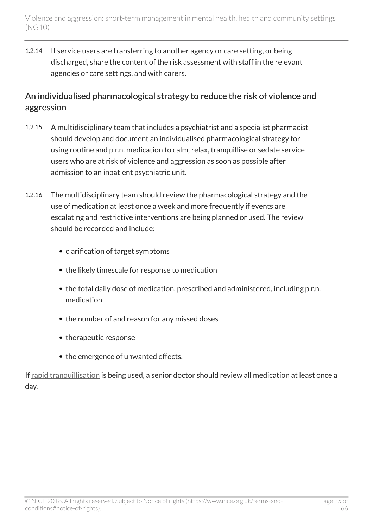1.2.14 If service users are transferring to another agency or care setting, or being discharged, share the content of the risk assessment with staff in the relevant agencies or care settings, and with carers.

### An individualised pharmacological strategy to reduce the risk of violence and aggression

- 1.2.15 A multidisciplinary team that includes a psychiatrist and a specialist pharmacist should develop and document an individualised pharmacological strategy for using routine and [p.r.n.](http://live-publications.nice.org.uk/recommendations#terms-used-in-this-guideline) medication to calm, relax, tranquillise or sedate service users who are at risk of violence and aggression as soon as possible after admission to an inpatient psychiatric unit.
- 1.2.16 The multidisciplinary team should review the pharmacological strategy and the use of medication at least once a week and more frequently if events are escalating and restrictive interventions are being planned or used. The review should be recorded and include:
	- clarification of target symptoms
	- the likely timescale for response to medication
	- the total daily dose of medication, prescribed and administered, including p.r.n. medication
	- the number of and reason for any missed doses
	- therapeutic response
	- the emergence of unwanted effects.

If [rapid tranquillisation](http://live-publications.nice.org.uk/recommendations#terms-used-in-this-guideline) is being used, a senior doctor should review all medication at least once a day.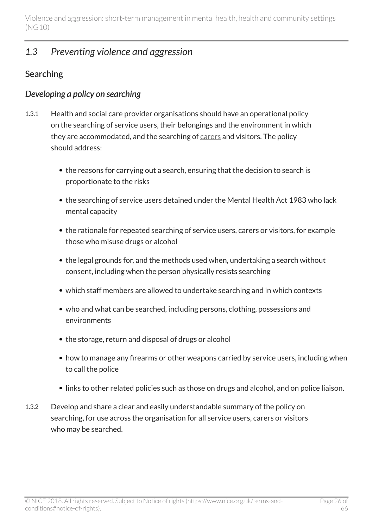## <span id="page-25-0"></span>*1.3 Preventing violence and aggression*

## Searching

### *Developing a policy on searching*

- 1.3.1 Health and social care provider organisations should have an operational policy on the searching of service users, their belongings and the environment in which they are accommodated, and the searching of [carers](http://live-publications.nice.org.uk/recommendations#terms-used-in-this-guideline) and visitors. The policy should address:
	- the reasons for carrying out a search, ensuring that the decision to search is proportionate to the risks
	- the searching of service users detained under the Mental Health Act 1983 who lack mental capacity
	- the rationale for repeated searching of service users, carers or visitors, for example those who misuse drugs or alcohol
	- the legal grounds for, and the methods used when, undertaking a search without consent, including when the person physically resists searching
	- which staff members are allowed to undertake searching and in which contexts
	- who and what can be searched, including persons, clothing, possessions and environments
	- the storage, return and disposal of drugs or alcohol
	- how to manage any firearms or other weapons carried by service users, including when to call the police
	- links to other related policies such as those on drugs and alcohol, and on police liaison.
- 1.3.2 Develop and share a clear and easily understandable summary of the policy on searching, for use across the organisation for all service users, carers or visitors who may be searched.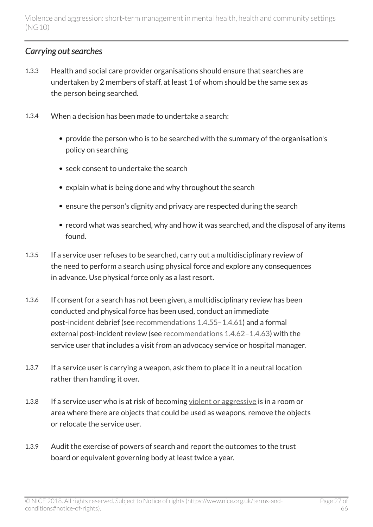### *Carrying out searches*

- 1.3.3 Health and social care provider organisations should ensure that searches are undertaken by 2 members of staff, at least 1 of whom should be the same sex as the person being searched.
- 1.3.4 When a decision has been made to undertake a search:
	- provide the person who is to be searched with the summary of the organisation's policy on searching
	- seek consent to undertake the search
	- explain what is being done and why throughout the search
	- ensure the person's dignity and privacy are respected during the search
	- record what was searched, why and how it was searched, and the disposal of any items found.
- 1.3.5 If a service user refuses to be searched, carry out a multidisciplinary review of the need to perform a search using physical force and explore any consequences in advance. Use physical force only as a last resort.
- 1.3.6 If consent for a search has not been given, a multidisciplinary review has been conducted and physical force has been used, conduct an immediate post[-incident](http://live-publications.nice.org.uk/recommendations#terms-used-in-this-guideline) debrief (see [recommendations](http://live-publications.nice.org.uk/recommendations#_Ref395093591) 1.4.55-1.4.61) and a formal external post-incident review (see [recommendations](http://live-publications.nice.org.uk/recommendations#_Ref410220432) 1.4.62–1.4.63) with the service user that includes a visit from an advocacy service or hospital manager.
- 1.3.7 If a service user is carrying a weapon, ask them to place it in a neutral location rather than handing it over.
- 1.3.8 If a service user who is at risk of becoming [violent or aggressive](http://live-publications.nice.org.uk/recommendations#terms-used-in-this-guideline) is in a room or area where there are objects that could be used as weapons, remove the objects or relocate the service user.
- 1.3.9 Audit the exercise of powers of search and report the outcomes to the trust board or equivalent governing body at least twice a year.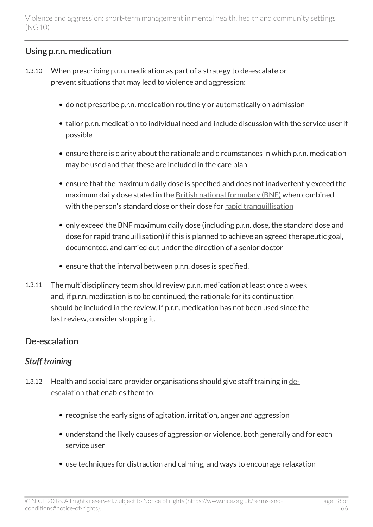## Using p.r.n. medication

- 1.3.10 When prescribing  $p.r.n.$  medication as part of a strategy to de-escalate or prevent situations that may lead to violence and aggression:
	- do not prescribe p.r.n. medication routinely or automatically on admission
	- tailor p.r.n. medication to individual need and include discussion with the service user if possible
	- ensure there is clarity about the rationale and circumstances in which p.r.n. medication may be used and that these are included in the care plan
	- ensure that the maximum daily dose is specified and does not inadvertently exceed the maximum daily dose stated in the [British national formulary \(BNF\)](https://www.medicinescomplete.com/mc/bnf/current/) when combined with the person's standard dose or their dose for [rapid tranquillisation](http://live-publications.nice.org.uk/recommendations#terms-used-in-this-guideline)
	- only exceed the BNF maximum daily dose (including p.r.n. dose, the standard dose and dose for rapid tranquillisation) if this is planned to achieve an agreed therapeutic goal, documented, and carried out under the direction of a senior doctor
	- ensure that the interval between p.r.n. doses is specified.
- 1.3.11 The multidisciplinary team should review p.r.n. medication at least once a week and, if p.r.n. medication is to be continued, the rationale for its continuation should be included in the review. If p.r.n. medication has not been used since the last review, consider stopping it.

### De-escalation

## *Staff training*

- 1.3.12 Health and social care provider organisations should give staff training in [de](http://live-publications.nice.org.uk/recommendations#terms-used-in-this-guideline)[escalation](http://live-publications.nice.org.uk/recommendations#terms-used-in-this-guideline) that enables them to:
	- recognise the early signs of agitation, irritation, anger and aggression
	- understand the likely causes of aggression or violence, both generally and for each service user
	- use techniques for distraction and calming, and ways to encourage relaxation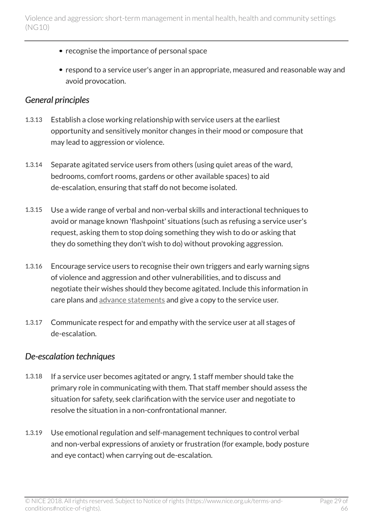- recognise the importance of personal space
- respond to a service user's anger in an appropriate, measured and reasonable way and avoid provocation.

#### *General principles*

- 1.3.13 Establish a close working relationship with service users at the earliest opportunity and sensitively monitor changes in their mood or composure that may lead to aggression or violence.
- 1.3.14 Separate agitated service users from others (using quiet areas of the ward, bedrooms, comfort rooms, gardens or other available spaces) to aid de-escalation, ensuring that staff do not become isolated.
- 1.3.15 Use a wide range of verbal and non-verbal skills and interactional techniques to avoid or manage known 'flashpoint' situations (such as refusing a service user's request, asking them to stop doing something they wish to do or asking that they do something they don't wish to do) without provoking aggression.
- 1.3.16 Encourage service users to recognise their own triggers and early warning signs of violence and aggression and other vulnerabilities, and to discuss and negotiate their wishes should they become agitated. Include this information in care plans and [advance statements](http://live-publications.nice.org.uk/recommendations#terms-used-in-this-guideline) and give a copy to the service user.
- 1.3.17 Communicate respect for and empathy with the service user at all stages of de-escalation.

#### *De-escalation techniques*

- 1.3.18 If a service user becomes agitated or angry, 1 staff member should take the primary role in communicating with them. That staff member should assess the situation for safety, seek clarification with the service user and negotiate to resolve the situation in a non-confrontational manner.
- 1.3.19 Use emotional regulation and self-management techniques to control verbal and non-verbal expressions of anxiety or frustration (for example, body posture and eye contact) when carrying out de-escalation.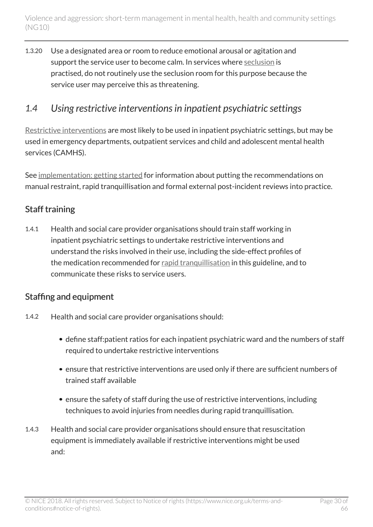1.3.20 Use a designated area or room to reduce emotional arousal or agitation and support the service user to become calm. In services where [seclusion](http://live-publications.nice.org.uk/recommendations#terms-used-in-this-guideline) is practised, do not routinely use the seclusion room for this purpose because the service user may perceive this as threatening.

## <span id="page-29-0"></span>*1.4 Using restrictive interventions in inpatient psychiatric settings*

[Restrictive interventions](http://live-publications.nice.org.uk/recommendations#terms-used-in-this-guideline) are most likely to be used in inpatient psychiatric settings, but may be used in emergency departments, outpatient services and child and adolescent mental health services (CAMHS).

See [implementation: getting started](http://live-publications.nice.org.uk/implementation-getting-started#implementation-getting-started) for information about putting the recommendations on manual restraint, rapid tranquillisation and formal external post-incident reviews into practice.

### Staff training

1.4.1 Health and social care provider organisations should train staff working in inpatient psychiatric settings to undertake restrictive interventions and understand the risks involved in their use, including the side-effect profiles of the medication recommended for [rapid tranquillisation](http://live-publications.nice.org.uk/recommendations#terms-used-in-this-guideline) in this guideline, and to communicate these risks to service users.

#### Staffing and equipment

- 1.4.2 Health and social care provider organisations should:
	- define staff:patient ratios for each inpatient psychiatric ward and the numbers of staff required to undertake restrictive interventions
	- ensure that restrictive interventions are used only if there are sufficient numbers of trained staff available
	- ensure the safety of staff during the use of restrictive interventions, including techniques to avoid injuries from needles during rapid tranquillisation.
- 1.4.3 Health and social care provider organisations should ensure that resuscitation equipment is immediately available if restrictive interventions might be used and: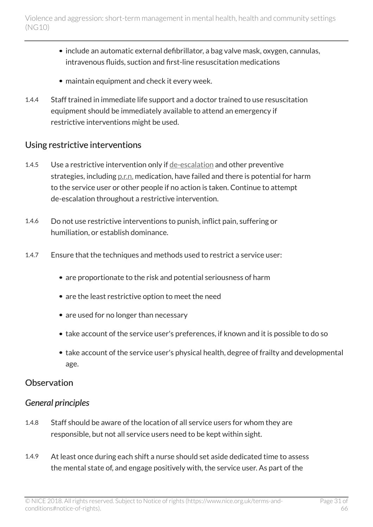- include an automatic external defibrillator, a bag valve mask, oxygen, cannulas, intravenous fluids, suction and first-line resuscitation medications
- maintain equipment and check it every week.
- 1.4.4 Staff trained in immediate life support and a doctor trained to use resuscitation equipment should be immediately available to attend an emergency if restrictive interventions might be used.

#### Using restrictive interventions

- 1.4.5 Use a restrictive intervention only if [de-escalation](http://live-publications.nice.org.uk/recommendations#terms-used-in-this-guideline) and other preventive strategies, including [p.r.n.](http://live-publications.nice.org.uk/recommendations#terms-used-in-this-guideline) medication, have failed and there is potential for harm to the service user or other people if no action is taken. Continue to attempt de-escalation throughout a restrictive intervention.
- 1.4.6 Do not use restrictive interventions to punish, inflict pain, suffering or humiliation, or establish dominance.
- 1.4.7 Ensure that the techniques and methods used to restrict a service user:
	- are proportionate to the risk and potential seriousness of harm
	- are the least restrictive option to meet the need
	- are used for no longer than necessary
	- take account of the service user's preferences, if known and it is possible to do so
	- take account of the service user's physical health, degree of frailty and developmental age.

#### **Observation**

#### *General principles*

- 1.4.8 Staff should be aware of the location of all service users for whom they are responsible, but not all service users need to be kept within sight.
- 1.4.9 At least once during each shift a nurse should set aside dedicated time to assess the mental state of, and engage positively with, the service user. As part of the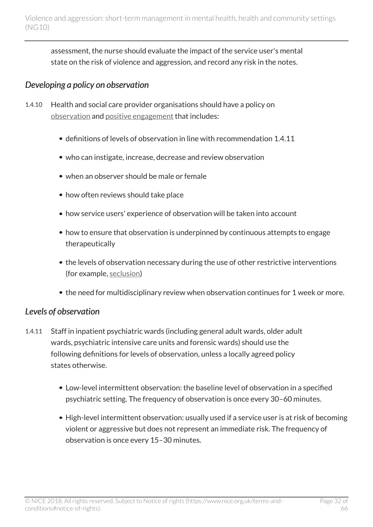assessment, the nurse should evaluate the impact of the service user's mental state on the risk of violence and aggression, and record any risk in the notes.

### *Developing a policy on observation*

- 1.4.10 Health and social care provider organisations should have a policy on [observation](http://live-publications.nice.org.uk/recommendations#terms-used-in-this-guideline) and [positive engagement](http://live-publications.nice.org.uk/recommendations#terms-used-in-this-guideline) that includes:
	- definitions of levels of observation in line with recommendation 1.4.11
	- who can instigate, increase, decrease and review observation
	- when an observer should be male or female
	- how often reviews should take place
	- how service users' experience of observation will be taken into account
	- how to ensure that observation is underpinned by continuous attempts to engage therapeutically
	- the levels of observation necessary during the use of other restrictive interventions (for example, [seclusion](http://live-publications.nice.org.uk/recommendations#terms-used-in-this-guideline))
	- the need for multidisciplinary review when observation continues for 1 week or more.

#### *Levels of observation*

- 1.4.11 Staff in inpatient psychiatric wards (including general adult wards, older adult wards, psychiatric intensive care units and forensic wards) should use the following definitions for levels of observation, unless a locally agreed policy states otherwise.
	- Low-level intermittent observation: the baseline level of observation in a specified psychiatric setting. The frequency of observation is once every 30–60 minutes.
	- High-level intermittent observation: usually used if a service user is at risk of becoming violent or aggressive but does not represent an immediate risk. The frequency of observation is once every 15–30 minutes.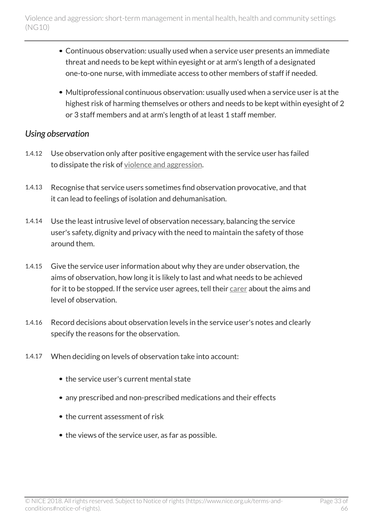- Continuous observation: usually used when a service user presents an immediate threat and needs to be kept within eyesight or at arm's length of a designated one-to-one nurse, with immediate access to other members of staff if needed.
- Multiprofessional continuous observation: usually used when a service user is at the highest risk of harming themselves or others and needs to be kept within eyesight of 2 or 3 staff members and at arm's length of at least 1 staff member.

#### *Using observation*

- 1.4.12 Use observation only after positive engagement with the service user has failed to dissipate the risk of [violence and aggression](http://live-publications.nice.org.uk/recommendations#terms-used-in-this-guideline).
- 1.4.13 Recognise that service users sometimes find observation provocative, and that it can lead to feelings of isolation and dehumanisation.
- 1.4.14 Use the least intrusive level of observation necessary, balancing the service user's safety, dignity and privacy with the need to maintain the safety of those around them.
- 1.4.15 Give the service user information about why they are under observation, the aims of observation, how long it is likely to last and what needs to be achieved for it to be stopped. If the service user agrees, tell their [carer](http://live-publications.nice.org.uk/recommendations#terms-used-in-this-guideline) about the aims and level of observation.
- 1.4.16 Record decisions about observation levels in the service user's notes and clearly specify the reasons for the observation.
- 1.4.17 When deciding on levels of observation take into account:
	- the service user's current mental state
	- any prescribed and non-prescribed medications and their effects
	- the current assessment of risk
	- the views of the service user, as far as possible.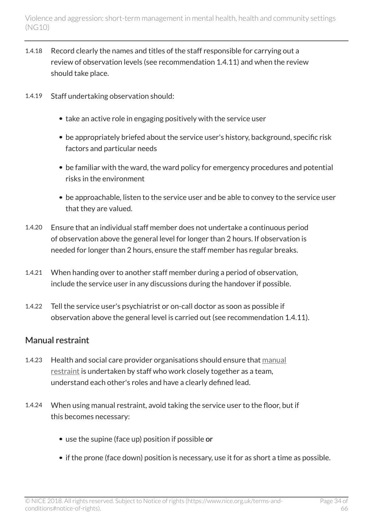- 1.4.18 Record clearly the names and titles of the staff responsible for carrying out a review of observation levels (see recommendation 1.4.11) and when the review should take place.
- 1.4.19 Staff undertaking observation should:
	- take an active role in engaging positively with the service user
	- be appropriately briefed about the service user's history, background, specific risk factors and particular needs
	- be familiar with the ward, the ward policy for emergency procedures and potential risks in the environment
	- be approachable, listen to the service user and be able to convey to the service user that they are valued.
- 1.4.20 Ensure that an individual staff member does not undertake a continuous period of observation above the general level for longer than 2 hours. If observation is needed for longer than 2 hours, ensure the staff member has regular breaks.
- 1.4.21 When handing over to another staff member during a period of observation, include the service user in any discussions during the handover if possible.
- 1.4.22 Tell the service user's psychiatrist or on-call doctor as soon as possible if observation above the general level is carried out (see recommendation 1.4.11).

### Manual restraint

- 1.4.23 Health and social care provider organisations should ensure that [manual](http://live-publications.nice.org.uk/recommendations#terms-used-in-this-guideline) [restraint](http://live-publications.nice.org.uk/recommendations#terms-used-in-this-guideline) is undertaken by staff who work closely together as a team, understand each other's roles and have a clearly defined lead.
- 1.4.24 When using manual restraint, avoid taking the service user to the floor, but if this becomes necessary:
	- use the supine (face up) position if possible or
	- if the prone (face down) position is necessary, use it for as short a time as possible.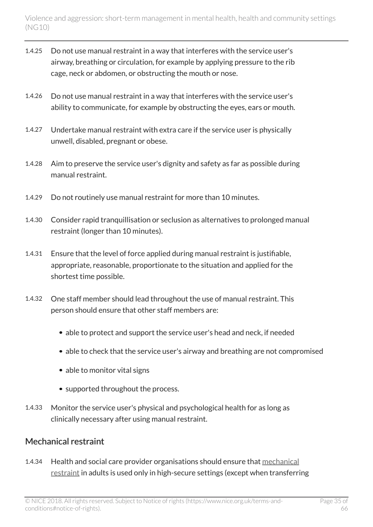- 1.4.25 Do not use manual restraint in a way that interferes with the service user's airway, breathing or circulation, for example by applying pressure to the rib cage, neck or abdomen, or obstructing the mouth or nose.
- 1.4.26 Do not use manual restraint in a way that interferes with the service user's ability to communicate, for example by obstructing the eyes, ears or mouth.
- 1.4.27 Undertake manual restraint with extra care if the service user is physically unwell, disabled, pregnant or obese.
- 1.4.28 Aim to preserve the service user's dignity and safety as far as possible during manual restraint.
- 1.4.29 Do not routinely use manual restraint for more than 10 minutes.
- 1.4.30 Consider rapid tranquillisation or seclusion as alternatives to prolonged manual restraint (longer than 10 minutes).
- 1.4.31 Ensure that the level of force applied during manual restraint is justifiable, appropriate, reasonable, proportionate to the situation and applied for the shortest time possible.
- 1.4.32 One staff member should lead throughout the use of manual restraint. This person should ensure that other staff members are:
	- able to protect and support the service user's head and neck, if needed
	- able to check that the service user's airway and breathing are not compromised
	- able to monitor vital signs
	- supported throughout the process.
- 1.4.33 Monitor the service user's physical and psychological health for as long as clinically necessary after using manual restraint.

### Mechanical restraint

1.4.34 Health and social care provider organisations should ensure that [mechanical](http://live-publications.nice.org.uk/recommendations#terms-used-in-this-guideline) [restraint](http://live-publications.nice.org.uk/recommendations#terms-used-in-this-guideline) in adults is used only in high-secure settings (except when transferring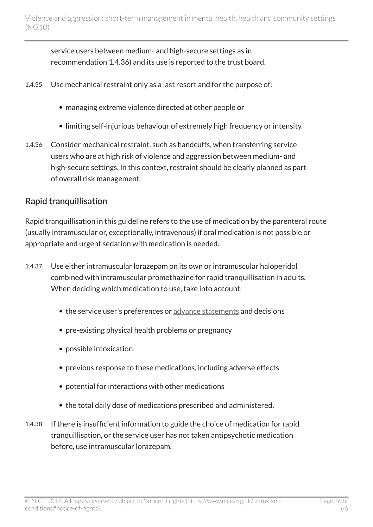service users between medium- and high-secure settings as in recommendation 1.4.36) and its use is reported to the trust board.

- 1.4.35 Use mechanical restraint only as a last resort and for the purpose of:
	- managing extreme violence directed at other people or
	- limiting self-injurious behaviour of extremely high frequency or intensity.
- 1.4.36 Consider mechanical restraint, such as handcuffs, when transferring service users who are at high risk of violence and aggression between medium- and high-secure settings. In this context, restraint should be clearly planned as part of overall risk management.

### Rapid tranquillisation

Rapid tranquillisation in this guideline refers to the use of medication by the parenteral route (usually intramuscular or, exceptionally, intravenous) if oral medication is not possible or appropriate and urgent sedation with medication is needed.

- 1.4.37 Use either intramuscular lorazepam on its own or intramuscular haloperidol combined with intramuscular promethazine for rapid tranquillisation in adults. When deciding which medication to use, take into account:
	- the service user's preferences or [advance statements](http://live-publications.nice.org.uk/recommendations#terms-used-in-this-guideline) and decisions
	- pre-existing physical health problems or pregnancy
	- possible intoxication
	- previous response to these medications, including adverse effects
	- potential for interactions with other medications
	- the total daily dose of medications prescribed and administered.
- 1.4.38 If there is insufficient information to guide the choice of medication for rapid tranquillisation, or the service user has not taken antipsychotic medication before, use intramuscular lorazepam.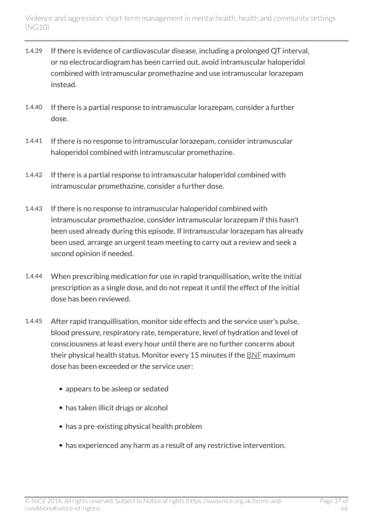- 1.4.39 If there is evidence of cardiovascular disease, including a prolonged QT interval, or no electrocardiogram has been carried out, avoid intramuscular haloperidol combined with intramuscular promethazine and use intramuscular lorazepam instead.
- 1.4.40 If there is a partial response to intramuscular lorazepam, consider a further dose.
- 1.4.41 If there is no response to intramuscular lorazepam, consider intramuscular haloperidol combined with intramuscular promethazine.
- 1.4.42 If there is a partial response to intramuscular haloperidol combined with intramuscular promethazine, consider a further dose.
- 1.4.43 If there is no response to intramuscular haloperidol combined with intramuscular promethazine, consider intramuscular lorazepam if this hasn't been used already during this episode. If intramuscular lorazepam has already been used, arrange an urgent team meeting to carry out a review and seek a second opinion if needed.
- 1.4.44 When prescribing medication for use in rapid tranquillisation, write the initial prescription as a single dose, and do not repeat it until the effect of the initial dose has been reviewed.
- 1.4.45 After rapid tranquillisation, monitor side effects and the service user's pulse, blood pressure, respiratory rate, temperature, level of hydration and level of consciousness at least every hour until there are no further concerns about their physical health status. Monitor every 15 minutes if the [BNF](https://www.medicinescomplete.com/mc/bnf/current/) maximum dose has been exceeded or the service user:
	- appears to be asleep or sedated
	- has taken illicit drugs or alcohol
	- has a pre-existing physical health problem
	- has experienced any harm as a result of any restrictive intervention.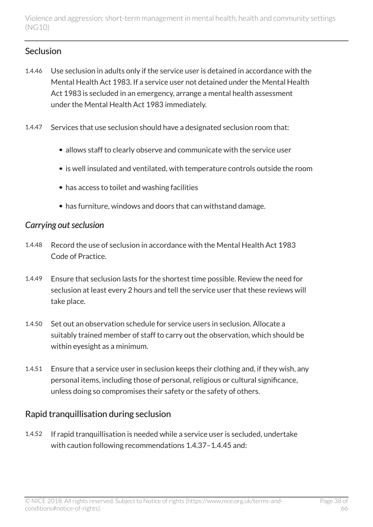#### **Seclusion**

- 1.4.46 Use seclusion in adults only if the service user is detained in accordance with the Mental Health Act 1983. If a service user not detained under the Mental Health Act 1983 is secluded in an emergency, arrange a mental health assessment under the Mental Health Act 1983 immediately.
- 1.4.47 Services that use seclusion should have a designated seclusion room that:
	- allows staff to clearly observe and communicate with the service user
	- is well insulated and ventilated, with temperature controls outside the room
	- has access to toilet and washing facilities
	- has furniture, windows and doors that can withstand damage.

#### *Carrying out seclusion*

- 1.4.48 Record the use of seclusion in accordance with the Mental Health Act 1983 Code of Practice.
- 1.4.49 Ensure that seclusion lasts for the shortest time possible. Review the need for seclusion at least every 2 hours and tell the service user that these reviews will take place.
- 1.4.50 Set out an observation schedule for service users in seclusion. Allocate a suitably trained member of staff to carry out the observation, which should be within eyesight as a minimum.
- 1.4.51 Ensure that a service user in seclusion keeps their clothing and, if they wish, any personal items, including those of personal, religious or cultural significance, unless doing so compromises their safety or the safety of others.

### Rapid tranquillisation during seclusion

1.4.52 If rapid tranquillisation is needed while a service user is secluded, undertake with caution following recommendations 1.4.37–1.4.45 and: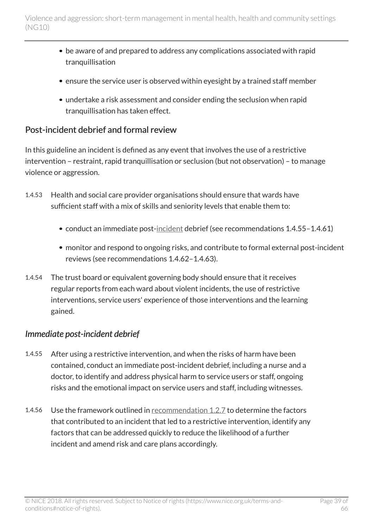- be aware of and prepared to address any complications associated with rapid tranquillisation
- ensure the service user is observed within eyesight by a trained staff member
- undertake a risk assessment and consider ending the seclusion when rapid tranquillisation has taken effect.

### Post-incident debrief and formal review

In this guideline an incident is defined as any event that involves the use of a restrictive intervention – restraint, rapid tranquillisation or seclusion (but not observation) – to manage violence or aggression.

- 1.4.53 Health and social care provider organisations should ensure that wards have sufficient staff with a mix of skills and seniority levels that enable them to:
	- conduct an immediate post-[incident](http://live-publications.nice.org.uk/recommendations#terms-used-in-this-guideline) debrief (see recommendations 1.4.55-1.4.61)
	- monitor and respond to ongoing risks, and contribute to formal external post-incident reviews (see recommendations 1.4.62–1.4.63).
- 1.4.54 The trust board or equivalent governing body should ensure that it receives regular reports from each ward about violent incidents, the use of restrictive interventions, service users' experience of those interventions and the learning gained.

### *Immediate post-incident debrief*

- 1.4.55 After using a restrictive intervention, and when the risks of harm have been contained, conduct an immediate post-incident debrief, including a nurse and a doctor, to identify and address physical harm to service users or staff, ongoing risks and the emotional impact on service users and staff, including witnesses.
- 1.4.56 Use the framework outlined in [recommendation](http://live-publications.nice.org.uk/recommendations#_Ref398629147) 1.2.7 to determine the factors that contributed to an incident that led to a restrictive intervention, identify any factors that can be addressed quickly to reduce the likelihood of a further incident and amend risk and care plans accordingly.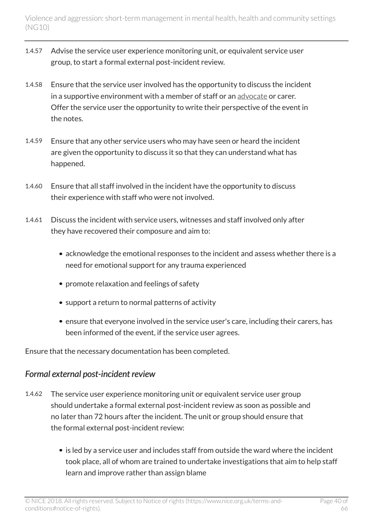- 1.4.57 Advise the service user experience monitoring unit, or equivalent service user group, to start a formal external post-incident review.
- 1.4.58 Ensure that the service user involved has the opportunity to discuss the incident in a supportive environment with a member of staff or an [advocate](http://live-publications.nice.org.uk/recommendations#terms-used-in-this-guideline) or carer. Offer the service user the opportunity to write their perspective of the event in the notes.
- 1.4.59 Ensure that any other service users who may have seen or heard the incident are given the opportunity to discuss it so that they can understand what has happened.
- 1.4.60 Ensure that all staff involved in the incident have the opportunity to discuss their experience with staff who were not involved.
- 1.4.61 Discuss the incident with service users, witnesses and staff involved only after they have recovered their composure and aim to:
	- acknowledge the emotional responses to the incident and assess whether there is a need for emotional support for any trauma experienced
	- promote relaxation and feelings of safety
	- support a return to normal patterns of activity
	- ensure that everyone involved in the service user's care, including their carers, has been informed of the event, if the service user agrees.

Ensure that the necessary documentation has been completed.

### *Formal external post-incident review*

- 1.4.62 The service user experience monitoring unit or equivalent service user group should undertake a formal external post-incident review as soon as possible and no later than 72 hours after the incident. The unit or group should ensure that the formal external post-incident review:
	- is led by a service user and includes staff from outside the ward where the incident took place, all of whom are trained to undertake investigations that aim to help staff learn and improve rather than assign blame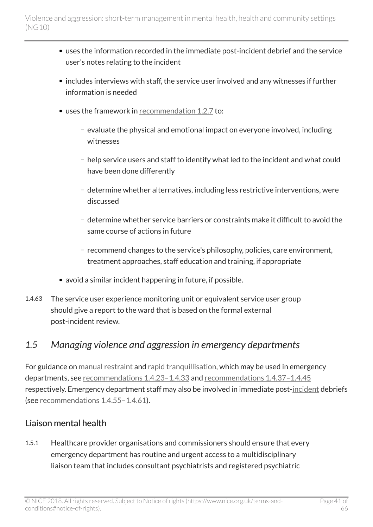- uses the information recorded in the immediate post-incident debrief and the service user's notes relating to the incident
- includes interviews with staff, the service user involved and any witnesses if further information is needed
- uses the framework in [recommendation](http://live-publications.nice.org.uk/recommendations#_Ref398629147) 1.2.7 to:
	- $-$  evaluate the physical and emotional impact on everyone involved, including witnesses
	- help service users and staff to identify what led to the incident and what could have been done differently
	- determine whether alternatives, including less restrictive interventions, were discussed
	- determine whether service barriers or constraints make it difficult to avoid the same course of actions in future
	- recommend changes to the service's philosophy, policies, care environment, treatment approaches, staff education and training, if appropriate
- avoid a similar incident happening in future, if possible.
- 1.4.63 The service user experience monitoring unit or equivalent service user group should give a report to the ward that is based on the formal external post-incident review.

## <span id="page-40-0"></span>*1.5 Managing violence and aggression in emergency departments*

For guidance on [manual restraint](http://live-publications.nice.org.uk/recommendations#terms-used-in-this-guideline) and [rapid tranquillisation](http://live-publications.nice.org.uk/recommendations#terms-used-in-this-guideline), which may be used in emergency departments, see [recommendations](http://live-publications.nice.org.uk/recommendations#_Ref411525530) 1.4.23–1.4.33 and [recommendations](http://live-publications.nice.org.uk/recommendations#_Ref398647936) 1.4.37–1.4.45 respectively. Emergency department staff may also be involved in immediate post-[incident](http://live-publications.nice.org.uk/recommendations#terms-used-in-this-guideline) debriefs (see [recommendations](http://live-publications.nice.org.uk/recommendations#_Ref395093591) 1.4.55–1.4.61).

### Liaison mental health

1.5.1 Healthcare provider organisations and commissioners should ensure that every emergency department has routine and urgent access to a multidisciplinary liaison team that includes consultant psychiatrists and registered psychiatric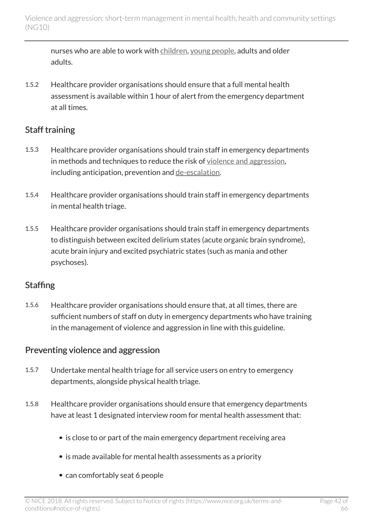nurses who are able to work with [children,](http://live-publications.nice.org.uk/recommendations#terms-used-in-this-guideline) [young people,](http://live-publications.nice.org.uk/recommendations#terms-used-in-this-guideline) adults and older adults.

1.5.2 Healthcare provider organisations should ensure that a full mental health assessment is available within 1 hour of alert from the emergency department at all times.

#### Staff training

- 1.5.3 Healthcare provider organisations should train staff in emergency departments in methods and techniques to reduce the risk of [violence and aggression](http://live-publications.nice.org.uk/recommendations#terms-used-in-this-guideline), including anticipation, prevention and [de-escalation.](http://live-publications.nice.org.uk/recommendations#terms-used-in-this-guideline)
- 1.5.4 Healthcare provider organisations should train staff in emergency departments in mental health triage.
- 1.5.5 Healthcare provider organisations should train staff in emergency departments to distinguish between excited delirium states (acute organic brain syndrome), acute brain injury and excited psychiatric states (such as mania and other psychoses).

#### **Staffing**

1.5.6 Healthcare provider organisations should ensure that, at all times, there are sufficient numbers of staff on duty in emergency departments who have training in the management of violence and aggression in line with this guideline.

#### Preventing violence and aggression

- 1.5.7 Undertake mental health triage for all service users on entry to emergency departments, alongside physical health triage.
- 1.5.8 Healthcare provider organisations should ensure that emergency departments have at least 1 designated interview room for mental health assessment that:
	- is close to or part of the main emergency department receiving area
	- is made available for mental health assessments as a priority
	- can comfortably seat 6 people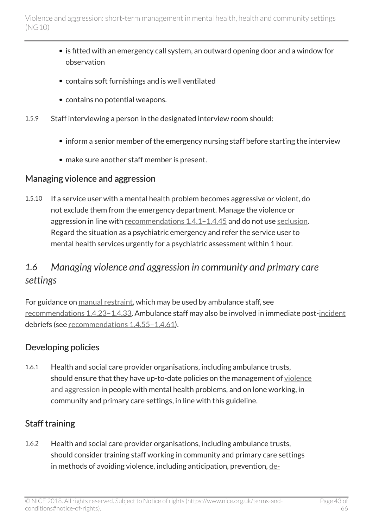- is fitted with an emergency call system, an outward opening door and a window for observation
- contains soft furnishings and is well ventilated
- contains no potential weapons.
- 1.5.9 Staff interviewing a person in the designated interview room should:
	- inform a senior member of the emergency nursing staff before starting the interview
	- make sure another staff member is present.

#### Managing violence and aggression

1.5.10 If a service user with a mental health problem becomes aggressive or violent, do not exclude them from the emergency department. Manage the violence or aggression in line with [recommendations](http://live-publications.nice.org.uk/recommendations#_Ref396990971) 1.4.1-1.4.45 and do not use [seclusion.](http://live-publications.nice.org.uk/recommendations#terms-used-in-this-guideline) Regard the situation as a psychiatric emergency and refer the service user to mental health services urgently for a psychiatric assessment within 1 hour.

## <span id="page-42-0"></span>*1.6 Managing violence and aggression in community and primary care settings*

For guidance on [manual restraint,](http://live-publications.nice.org.uk/recommendations#terms-used-in-this-guideline) which may be used by ambulance staff, see [recommendations](http://live-publications.nice.org.uk/recommendations#_Ref411525530) 1.4.23–1.4.33. Ambulance staff may also be involved in immediate post-[incident](http://live-publications.nice.org.uk/recommendations#terms-used-in-this-guideline) debriefs (see [recommendations](http://live-publications.nice.org.uk/recommendations#_Ref395093591) 1.4.55–1.4.61).

#### Developing policies

1.6.1 Health and social care provider organisations, including ambulance trusts, should ensure that they have up-to-date policies on the management of [violence](http://live-publications.nice.org.uk/recommendations#terms-used-in-this-guideline) [and aggression](http://live-publications.nice.org.uk/recommendations#terms-used-in-this-guideline) in people with mental health problems, and on lone working, in community and primary care settings, in line with this guideline.

### Staff training

1.6.2 Health and social care provider organisations, including ambulance trusts, should consider training staff working in community and primary care settings in methods of avoiding violence, including anticipation, prevention, [de-](http://live-publications.nice.org.uk/recommendations#terms-used-in-this-guideline)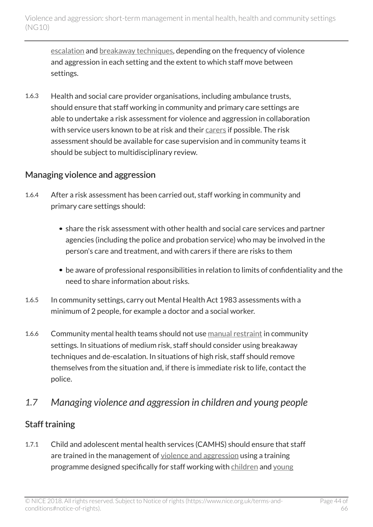[escalation](http://live-publications.nice.org.uk/recommendations#terms-used-in-this-guideline) and [breakaway techniques,](http://live-publications.nice.org.uk/recommendations#terms-used-in-this-guideline) depending on the frequency of violence and aggression in each setting and the extent to which staff move between settings.

1.6.3 Health and social care provider organisations, including ambulance trusts, should ensure that staff working in community and primary care settings are able to undertake a risk assessment for violence and aggression in collaboration with service users known to be at risk and their [carers](http://live-publications.nice.org.uk/recommendations#terms-used-in-this-guideline) if possible. The risk assessment should be available for case supervision and in community teams it should be subject to multidisciplinary review.

#### Managing violence and aggression

- 1.6.4 After a risk assessment has been carried out, staff working in community and primary care settings should:
	- share the risk assessment with other health and social care services and partner agencies (including the police and probation service) who may be involved in the person's care and treatment, and with carers if there are risks to them
	- be aware of professional responsibilities in relation to limits of confidentiality and the need to share information about risks.
- 1.6.5 In community settings, carry out Mental Health Act 1983 assessments with a minimum of 2 people, for example a doctor and a social worker.
- 1.6.6 Community mental health teams should not use [manual restraint](http://live-publications.nice.org.uk/recommendations#terms-used-in-this-guideline) in community settings. In situations of medium risk, staff should consider using breakaway techniques and de-escalation. In situations of high risk, staff should remove themselves from the situation and, if there is immediate risk to life, contact the police.

## <span id="page-43-0"></span>*1.7 Managing violence and aggression in children and young people*

### Staff training

1.7.1 Child and adolescent mental health services (CAMHS) should ensure that staff are trained in the management of [violence and aggression](http://live-publications.nice.org.uk/recommendations#terms-used-in-this-guideline) using a training programme designed specifically for staff working with [children](http://live-publications.nice.org.uk/recommendations#terms-used-in-this-guideline) and [young](http://live-publications.nice.org.uk/recommendations#terms-used-in-this-guideline)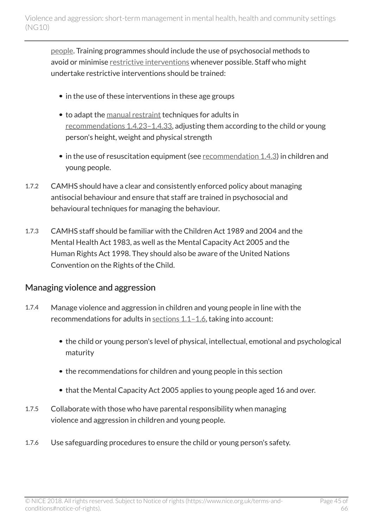[people.](http://live-publications.nice.org.uk/recommendations#terms-used-in-this-guideline) Training programmes should include the use of psychosocial methods to avoid or minimise [restrictive interventions](http://live-publications.nice.org.uk/recommendations#terms-used-in-this-guideline) whenever possible. Staff who might undertake restrictive interventions should be trained:

- in the use of these interventions in these age groups
- to adapt the [manual restraint](http://live-publications.nice.org.uk/recommendations#terms-used-in-this-guideline) techniques for adults in [recommendations](http://live-publications.nice.org.uk/recommendations#_Ref411525530) 1.4.23–1.4.33, adjusting them according to the child or young person's height, weight and physical strength
- $\bullet$  in the use of resuscitation equipment (see [recommendation](http://live-publications.nice.org.uk/recommendations#staffing-and-equipment) 1.4.3) in children and young people.
- 1.7.2 CAMHS should have a clear and consistently enforced policy about managing antisocial behaviour and ensure that staff are trained in psychosocial and behavioural techniques for managing the behaviour.
- 1.7.3 CAMHS staff should be familiar with the Children Act 1989 and 2004 and the Mental Health Act 1983, as well as the Mental Capacity Act 2005 and the Human Rights Act 1998. They should also be aware of the United Nations Convention on the Rights of the Child.

#### Managing violence and aggression

- 1.7.4 Manage violence and aggression in children and young people in line with the recommendations for adults in [sections](http://live-publications.nice.org.uk/recommendations#principles-for-managing-violence-and-aggression) 1.1–1.6, taking into account:
	- the child or young person's level of physical, intellectual, emotional and psychological maturity
	- the recommendations for children and young people in this section
	- that the Mental Capacity Act 2005 applies to young people aged 16 and over.
- 1.7.5 Collaborate with those who have parental responsibility when managing violence and aggression in children and young people.
- 1.7.6 Use safeguarding procedures to ensure the child or young person's safety.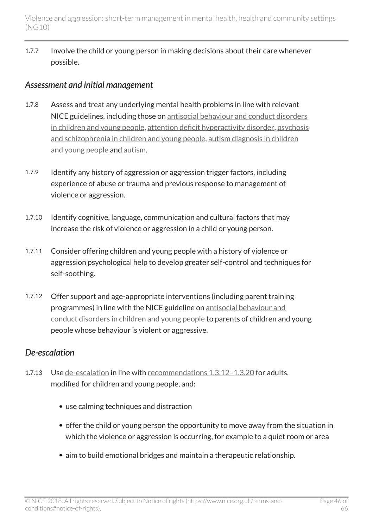1.7.7 Involve the child or young person in making decisions about their care whenever possible.

#### *Assessment and initial management*

- 1.7.8 Assess and treat any underlying mental health problems in line with relevant NICE guidelines, including those on [antisocial behaviour and conduct disorders](http://www.nice.org.uk/guidance/cg158) [in children and young people](http://www.nice.org.uk/guidance/cg158), [attention deficit hyperactivity disorder,](http://www.nice.org.uk/guidance/cg72) [psychosis](http://www.nice.org.uk/guidance/cg155) [and schizophrenia in children and young people](http://www.nice.org.uk/guidance/cg155), [autism diagnosis in children](http://www.nice.org.uk/guidance/cg128) [and young people](http://www.nice.org.uk/guidance/cg128) and [autism.](http://www.nice.org.uk/guidance/cg170)
- 1.7.9 Identify any history of aggression or aggression trigger factors, including experience of abuse or trauma and previous response to management of violence or aggression.
- 1.7.10 Identify cognitive, language, communication and cultural factors that may increase the risk of violence or aggression in a child or young person.
- 1.7.11 Consider offering children and young people with a history of violence or aggression psychological help to develop greater self-control and techniques for self-soothing.
- 1.7.12 Offer support and age-appropriate interventions (including parent training programmes) in line with the NICE guideline on [antisocial behaviour and](http://www.nice.org.uk/guidance/cg158) [conduct disorders in children and young people](http://www.nice.org.uk/guidance/cg158) to parents of children and young people whose behaviour is violent or aggressive.

#### *De-escalation*

- 1.7.13 Use [de-escalation](http://live-publications.nice.org.uk/recommendations#terms-used-in-this-guideline) in line with [recommendations](http://live-publications.nice.org.uk/recommendations#_Ref395106954) 1.3.12-1.3.20 for adults, modified for children and young people, and:
	- use calming techniques and distraction
	- offer the child or young person the opportunity to move away from the situation in which the violence or aggression is occurring, for example to a quiet room or area
	- aim to build emotional bridges and maintain a therapeutic relationship.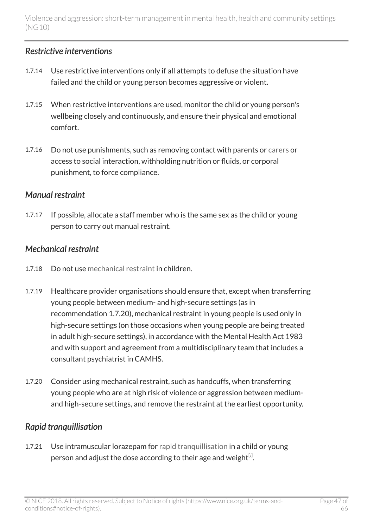#### *Restrictive interventions*

- 1.7.14 Use restrictive interventions only if all attempts to defuse the situation have failed and the child or young person becomes aggressive or violent.
- 1.7.15 When restrictive interventions are used, monitor the child or young person's wellbeing closely and continuously, and ensure their physical and emotional comfort.
- 1.7.16 Do not use punishments, such as removing contact with parents or [carers](http://live-publications.nice.org.uk/recommendations#terms-used-in-this-guideline) or access to social interaction, withholding nutrition or fluids, or corporal punishment, to force compliance.

#### *Manual restraint*

1.7.17 If possible, allocate a staff member who is the same sex as the child or young person to carry out manual restraint.

#### *Mechanical restraint*

- 1.7.18 Do not use [mechanical restraint](http://live-publications.nice.org.uk/recommendations#terms-used-in-this-guideline) in children.
- 1.7.19 Healthcare provider organisations should ensure that, except when transferring young people between medium- and high-secure settings (as in recommendation 1.7.20), mechanical restraint in young people is used only in high-secure settings (on those occasions when young people are being treated in adult high-secure settings), in accordance with the Mental Health Act 1983 and with support and agreement from a multidisciplinary team that includes a consultant psychiatrist in CAMHS.
- 1.7.20 Consider using mechanical restraint, such as handcuffs, when transferring young people who are at high risk of violence or aggression between mediumand high-secure settings, and remove the restraint at the earliest opportunity.

### *Rapid tranquillisation*

<span id="page-46-0"></span>1.7.21 Use intramuscular lorazepam for [rapid tranquillisation](http://live-publications.nice.org.uk/recommendations#terms-used-in-this-guideline) in a child or young person and adjust the dose according to their age and weight $^{\text{\tiny{[1]}}}$  $^{\text{\tiny{[1]}}}$  $^{\text{\tiny{[1]}}}$ .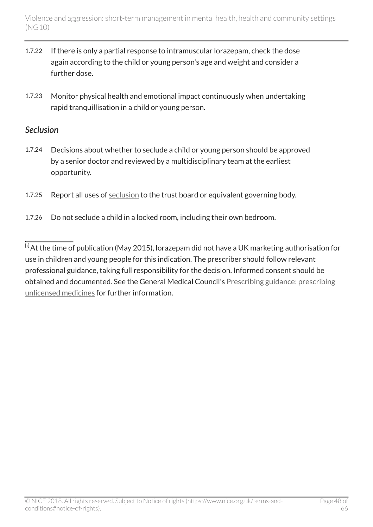- 1.7.22 If there is only a partial response to intramuscular lorazepam, check the dose again according to the child or young person's age and weight and consider a further dose.
- 1.7.23 Monitor physical health and emotional impact continuously when undertaking rapid tranquillisation in a child or young person.

#### *Seclusion*

- 1.7.24 Decisions about whether to seclude a child or young person should be approved by a senior doctor and reviewed by a multidisciplinary team at the earliest opportunity.
- 1.7.25 Report all uses of [seclusion](http://live-publications.nice.org.uk/recommendations#terms-used-in-this-guideline) to the trust board or equivalent governing body.
- 1.7.26 Do not seclude a child in a locked room, including their own bedroom.

<span id="page-47-0"></span> $\overline{14}$  $\overline{14}$  $\overline{14}$ At the time of publication (May 2015), lorazepam did not have a UK marketing authorisation for use in children and young people for this indication. The prescriber should follow relevant professional guidance, taking full responsibility for the decision. Informed consent should be obtained and documented. See the General Medical Council's [Prescribing guidance: prescribing](http://www.gmc-uk.org/guidance/ethical_guidance/14327.asp) [unlicensed medicines](http://www.gmc-uk.org/guidance/ethical_guidance/14327.asp) for further information.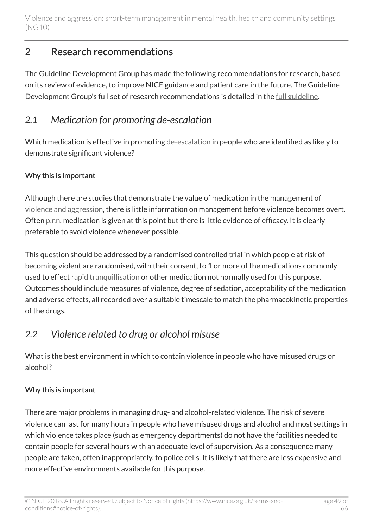## <span id="page-48-0"></span>2 Research recommendations

The Guideline Development Group has made the following recommendations for research, based on its review of evidence, to improve NICE guidance and patient care in the future. The Guideline Development Group's full set of research recommendations is detailed in the [full guideline](http://www.nice.org.uk/guidance/ng10/evidence).

## <span id="page-48-1"></span>*2.1 Medication for promoting de-escalation*

Which medication is effective in promoting [de-escalation](http://live-publications.nice.org.uk/recommendations#terms-used-in-this-guideline) in people who are identified as likely to demonstrate significant violence?

#### Why this is important

Although there are studies that demonstrate the value of medication in the management of [violence and aggression](http://live-publications.nice.org.uk/recommendations#terms-used-in-this-guideline), there is little information on management before violence becomes overt. Often [p.r.n.](http://live-publications.nice.org.uk/recommendations#terms-used-in-this-guideline) medication is given at this point but there is little evidence of efficacy. It is clearly preferable to avoid violence whenever possible.

This question should be addressed by a randomised controlled trial in which people at risk of becoming violent are randomised, with their consent, to 1 or more of the medications commonly used to effect [rapid tranquillisation](http://live-publications.nice.org.uk/recommendations#terms-used-in-this-guideline) or other medication not normally used for this purpose. Outcomes should include measures of violence, degree of sedation, acceptability of the medication and adverse effects, all recorded over a suitable timescale to match the pharmacokinetic properties of the drugs.

## <span id="page-48-2"></span>*2.2 Violence related to drug or alcohol misuse*

What is the best environment in which to contain violence in people who have misused drugs or alcohol?

### Why this is important

There are major problems in managing drug- and alcohol-related violence. The risk of severe violence can last for many hours in people who have misused drugs and alcohol and most settings in which violence takes place (such as emergency departments) do not have the facilities needed to contain people for several hours with an adequate level of supervision. As a consequence many people are taken, often inappropriately, to police cells. It is likely that there are less expensive and more effective environments available for this purpose.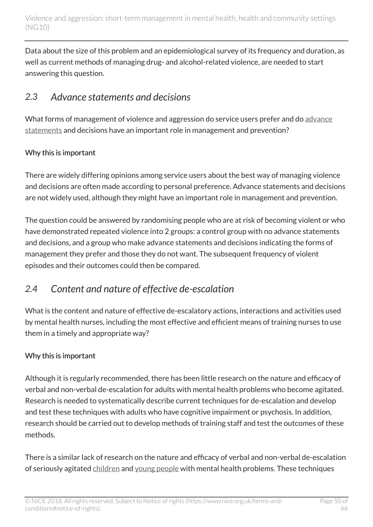Data about the size of this problem and an epidemiological survey of its frequency and duration, as well as current methods of managing drug- and alcohol-related violence, are needed to start answering this question.

## <span id="page-49-0"></span>*2.3 Advance statements and decisions*

What forms of management of violence and aggression do service users prefer and do [advance](http://live-publications.nice.org.uk/recommendations#terms-used-in-this-guideline) [statements](http://live-publications.nice.org.uk/recommendations#terms-used-in-this-guideline) and decisions have an important role in management and prevention?

### Why this is important

There are widely differing opinions among service users about the best way of managing violence and decisions are often made according to personal preference. Advance statements and decisions are not widely used, although they might have an important role in management and prevention.

The question could be answered by randomising people who are at risk of becoming violent or who have demonstrated repeated violence into 2 groups: a control group with no advance statements and decisions, and a group who make advance statements and decisions indicating the forms of management they prefer and those they do not want. The subsequent frequency of violent episodes and their outcomes could then be compared.

## <span id="page-49-1"></span>*2.4 Content and nature of effective de-escalation*

What is the content and nature of effective de-escalatory actions, interactions and activities used by mental health nurses, including the most effective and efficient means of training nurses to use them in a timely and appropriate way?

### Why this is important

Although it is regularly recommended, there has been little research on the nature and efficacy of verbal and non-verbal de-escalation for adults with mental health problems who become agitated. Research is needed to systematically describe current techniques for de-escalation and develop and test these techniques with adults who have cognitive impairment or psychosis. In addition, research should be carried out to develop methods of training staff and test the outcomes of these methods.

There is a similar lack of research on the nature and efficacy of verbal and non-verbal de-escalation of seriously agitated [children](http://live-publications.nice.org.uk/recommendations#terms-used-in-this-guideline) and [young people](http://live-publications.nice.org.uk/recommendations#terms-used-in-this-guideline) with mental health problems. These techniques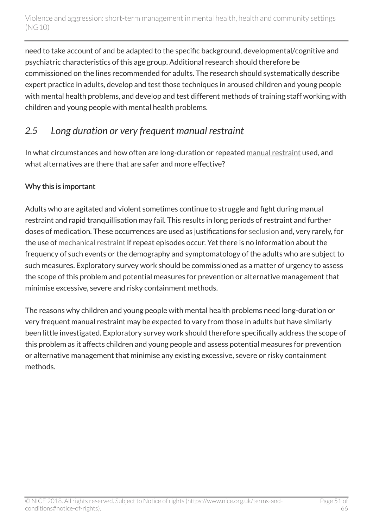need to take account of and be adapted to the specific background, developmental/cognitive and psychiatric characteristics of this age group. Additional research should therefore be commissioned on the lines recommended for adults. The research should systematically describe expert practice in adults, develop and test those techniques in aroused children and young people with mental health problems, and develop and test different methods of training staff working with children and young people with mental health problems.

## <span id="page-50-0"></span>*2.5 Long duration or very frequent manual restraint*

In what circumstances and how often are long-duration or repeated [manual restraint](http://live-publications.nice.org.uk/recommendations#terms-used-in-this-guideline) used, and what alternatives are there that are safer and more effective?

#### Why this is important

Adults who are agitated and violent sometimes continue to struggle and fight during manual restraint and rapid tranquillisation may fail. This results in long periods of restraint and further doses of medication. These occurrences are used as justifications for [seclusion](http://live-publications.nice.org.uk/recommendations#terms-used-in-this-guideline) and, very rarely, for the use of [mechanical restraint](http://live-publications.nice.org.uk/recommendations#terms-used-in-this-guideline) if repeat episodes occur. Yet there is no information about the frequency of such events or the demography and symptomatology of the adults who are subject to such measures. Exploratory survey work should be commissioned as a matter of urgency to assess the scope of this problem and potential measures for prevention or alternative management that minimise excessive, severe and risky containment methods.

The reasons why children and young people with mental health problems need long-duration or very frequent manual restraint may be expected to vary from those in adults but have similarly been little investigated. Exploratory survey work should therefore specifically address the scope of this problem as it affects children and young people and assess potential measures for prevention or alternative management that minimise any existing excessive, severe or risky containment methods.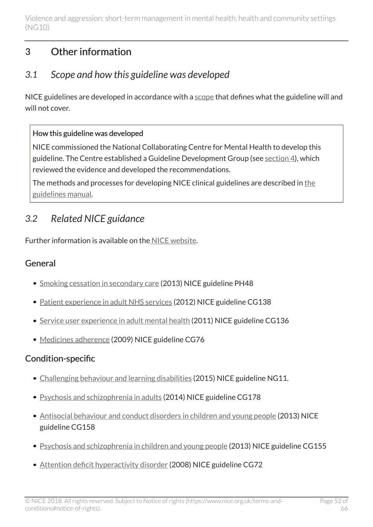## <span id="page-51-0"></span>3 Other information

## <span id="page-51-1"></span>*3.1 Scope and how this guideline was developed*

NICE guidelines are developed in accordance with a [scope](http://www.nice.org.uk/guidance/ng10/documents) that defines what the guideline will and will not cover.

#### How this guideline was developed

NICE commissioned the National Collaborating Centre for Mental Health to develop this guideline. The Centre established a Guideline Development Group (see [section 4](http://live-publications.nice.org.uk/the-guideline-development-group-national-collaborating-centre-and-nice-project-team-and#the-guideline-development-group-national-collaborating-centre-and-nice-project-team-and)), which reviewed the evidence and developed the recommendations.

The methods and processes for developing NICE clinical guidelines are described in [the](http://www.nice.org.uk/About/What-we-do/Our-Programmes/NICE-guidance/NICE-guidelines/NICE-clinical-guidelines) [guidelines manual.](http://www.nice.org.uk/About/What-we-do/Our-Programmes/NICE-guidance/NICE-guidelines/NICE-clinical-guidelines)

## <span id="page-51-2"></span>*3.2 Related NICE guidance*

Further information is available on the [NICE website](http://www.nice.org.uk/).

## General

- [Smoking cessation in secondary care](http://www.nice.org.uk/guidance/ph48) (2013) NICE guideline PH48
- [Patient experience in adult NHS services](http://www.nice.org.uk/guidance/cg138) (2012) NICE guideline CG138
- [Service user experience in adult mental health](http://www.nice.org.uk/guidance/cg136) (2011) NICE guideline CG136
- [Medicines adherence](http://www.nice.org.uk/guidance/cg76) (2009) NICE guideline CG76

## Condition-specific

- [Challenging behaviour and learning disabilities](http://www.nice.org.uk/guidance/ng11) (2015) NICE guideline NG11.
- [Psychosis and schizophrenia in adults](http://www.nice.org.uk/guidance/cg178) (2014) NICE guideline CG178
- [Antisocial behaviour and conduct disorders in children and young people](http://www.nice.org.uk/guidance/cg158) (2013) NICE guideline CG158
- [Psychosis and schizophrenia in children and young people](http://www.nice.org.uk/guidance/cg155) (2013) NICE guideline CG155
- [Attention deficit hyperactivity disorder](http://www.nice.org.uk/guidance/cg72) (2008) NICE guideline CG72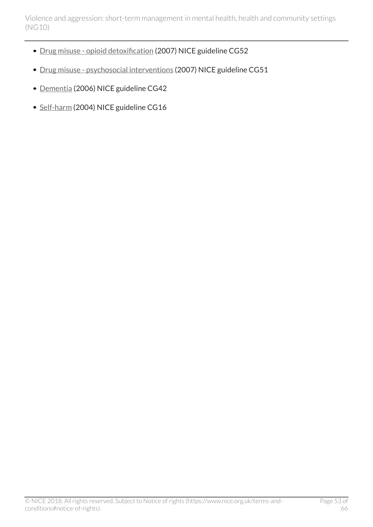- [Drug misuse opioid detoxification](http://www.nice.org.uk/guidance/cg52) (2007) NICE guideline CG52
- [Drug misuse psychosocial interventions](http://www.nice.org.uk/guidance/cg51) (2007) NICE guideline CG51
- [Dementia](http://www.nice.org.uk/guidance/cg42) (2006) NICE guideline CG42
- [Self-harm](http://www.nice.org.uk/guidance/cg16) (2004) NICE guideline CG16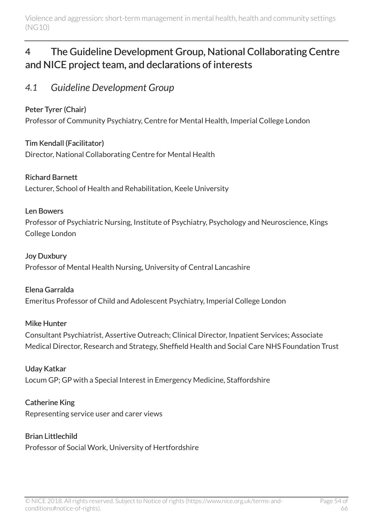## <span id="page-53-0"></span>4 The Guideline Development Group, National Collaborating Centre and NICE project team, and declarations of interests

## <span id="page-53-1"></span>*4.1 Guideline Development Group*

#### Peter Tyrer (Chair)

Professor of Community Psychiatry, Centre for Mental Health, Imperial College London

Tim Kendall (Facilitator) Director, National Collaborating Centre for Mental Health

#### Richard Barnett

Lecturer, School of Health and Rehabilitation, Keele University

#### Len Bowers

Professor of Psychiatric Nursing, Institute of Psychiatry, Psychology and Neuroscience, Kings College London

#### Joy Duxbury

Professor of Mental Health Nursing, University of Central Lancashire

#### Elena Garralda

Emeritus Professor of Child and Adolescent Psychiatry, Imperial College London

#### Mike Hunter

Consultant Psychiatrist, Assertive Outreach; Clinical Director, Inpatient Services; Associate Medical Director, Research and Strategy, Sheffield Health and Social Care NHS Foundation Trust

#### Uday Katkar

Locum GP; GP with a Special Interest in Emergency Medicine, Staffordshire

#### Catherine King

Representing service user and carer views

#### Brian Littlechild

Professor of Social Work, University of Hertfordshire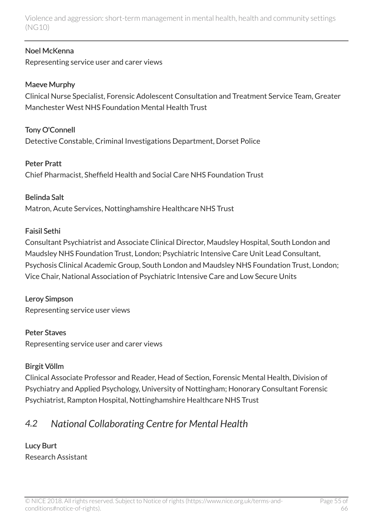#### Noel McKenna

Representing service user and carer views

#### Maeve Murphy

Clinical Nurse Specialist, Forensic Adolescent Consultation and Treatment Service Team, Greater Manchester West NHS Foundation Mental Health Trust

Tony O'Connell Detective Constable, Criminal Investigations Department, Dorset Police

#### Peter Pratt

Chief Pharmacist, Sheffield Health and Social Care NHS Foundation Trust

#### Belinda Salt

Matron, Acute Services, Nottinghamshire Healthcare NHS Trust

#### Faisil Sethi

Consultant Psychiatrist and Associate Clinical Director, Maudsley Hospital, South London and Maudsley NHS Foundation Trust, London; Psychiatric Intensive Care Unit Lead Consultant, Psychosis Clinical Academic Group, South London and Maudsley NHS Foundation Trust, London; Vice Chair, National Association of Psychiatric Intensive Care and Low Secure Units

#### Leroy Simpson

Representing service user views

#### Peter Staves

Representing service user and carer views

#### Birgit Völlm

Clinical Associate Professor and Reader, Head of Section, Forensic Mental Health, Division of Psychiatry and Applied Psychology, University of Nottingham; Honorary Consultant Forensic Psychiatrist, Rampton Hospital, Nottinghamshire Healthcare NHS Trust

## <span id="page-54-0"></span>*4.2 National Collaborating Centre for Mental Health*

#### Lucy Burt Research Assistant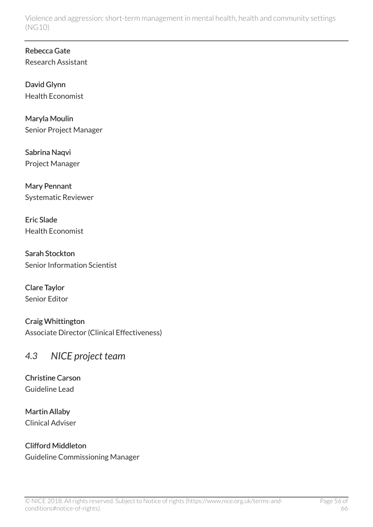Rebecca Gate Research Assistant

David Glynn Health Economist

Maryla Moulin Senior Project Manager

Sabrina Naqvi Project Manager

Mary Pennant Systematic Reviewer

Eric Slade Health Economist

Sarah Stockton Senior Information Scientist

Clare Taylor Senior Editor

Craig Whittington Associate Director (Clinical Effectiveness)

## <span id="page-55-0"></span>*4.3 NICE project team*

Christine Carson Guideline Lead

Martin Allaby Clinical Adviser

Clifford Middleton Guideline Commissioning Manager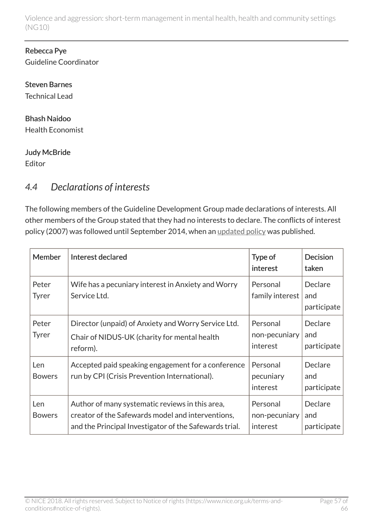#### Rebecca Pye Guideline Coordinator

Steven Barnes Technical Lead

#### Bhash Naidoo Health Economist

Judy McBride

Editor

## <span id="page-56-0"></span>*4.4 Declarations of interests*

The following members of the Guideline Development Group made declarations of interests. All other members of the Group stated that they had no interests to declare. The conflicts of interest policy (2007) was followed until September 2014, when an [updated policy](http://www.nice.org.uk/About/Who-we-are/policies-and-procedures) was published.

| <b>Member</b>         | Interest declared                                                                                                                                              | Type of<br>interest                   | <b>Decision</b><br>taken      |
|-----------------------|----------------------------------------------------------------------------------------------------------------------------------------------------------------|---------------------------------------|-------------------------------|
| Peter<br><b>Tyrer</b> | Wife has a pecuniary interest in Anxiety and Worry<br>Service Ltd.                                                                                             | Personal<br>family interest           | Declare<br>and<br>participate |
| Peter<br><b>Tyrer</b> | Director (unpaid) of Anxiety and Worry Service Ltd.<br>Chair of NIDUS-UK (charity for mental health<br>reform).                                                | Personal<br>non-pecuniary<br>interest | Declare<br>and<br>participate |
| Len<br><b>Bowers</b>  | Accepted paid speaking engagement for a conference<br>run by CPI (Crisis Prevention International).                                                            | Personal<br>pecuniary<br>interest     | Declare<br>and<br>participate |
| Len<br><b>Bowers</b>  | Author of many systematic reviews in this area,<br>creator of the Safewards model and interventions,<br>and the Principal Investigator of the Safewards trial. | Personal<br>non-pecuniary<br>interest | Declare<br>and<br>participate |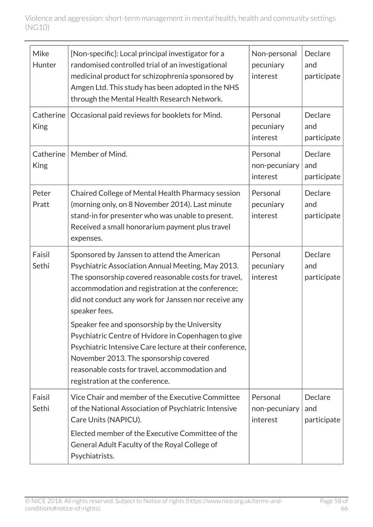| Mike<br>Hunter           | [Non-specific]: Local principal investigator for a<br>randomised controlled trial of an investigational<br>medicinal product for schizophrenia sponsored by<br>Amgen Ltd. This study has been adopted in the NHS<br>through the Mental Health Research Network.                                | Non-personal<br>pecuniary<br>interest | Declare<br>and<br>participate |
|--------------------------|------------------------------------------------------------------------------------------------------------------------------------------------------------------------------------------------------------------------------------------------------------------------------------------------|---------------------------------------|-------------------------------|
| Catherine<br><b>King</b> | Occasional paid reviews for booklets for Mind.                                                                                                                                                                                                                                                 | Personal<br>pecuniary<br>interest     | Declare<br>and<br>participate |
| Catherine<br><b>King</b> | Member of Mind.                                                                                                                                                                                                                                                                                | Personal<br>non-pecuniary<br>interest | Declare<br>and<br>participate |
| Peter<br>Pratt           | Chaired College of Mental Health Pharmacy session<br>(morning only, on 8 November 2014). Last minute<br>stand-in for presenter who was unable to present.<br>Received a small honorarium payment plus travel<br>expenses.                                                                      | Personal<br>pecuniary<br>interest     | Declare<br>and<br>participate |
| Faisil<br>Sethi          | Sponsored by Janssen to attend the American<br>Psychiatric Association Annual Meeting, May 2013.<br>The sponsorship covered reasonable costs for travel,<br>accommodation and registration at the conference;<br>did not conduct any work for Janssen nor receive any<br>speaker fees.         | Personal<br>pecuniary<br>interest     | Declare<br>and<br>participate |
|                          | Speaker fee and sponsorship by the University<br>Psychiatric Centre of Hvidore in Copenhagen to give<br>Psychiatric Intensive Care lecture at their conference,<br>November 2013. The sponsorship covered<br>reasonable costs for travel, accommodation and<br>registration at the conference. |                                       |                               |
| Faisil<br>Sethi          | Vice Chair and member of the Executive Committee<br>of the National Association of Psychiatric Intensive<br>Care Units (NAPICU).<br>Elected member of the Executive Committee of the<br>General Adult Faculty of the Royal College of<br>Psychiatrists.                                        | Personal<br>non-pecuniary<br>interest | Declare<br>and<br>participate |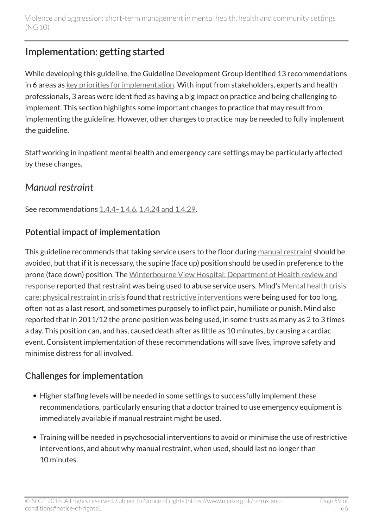## <span id="page-58-0"></span>Implementation: getting started

While developing this guideline, the Guideline Development Group identified 13 recommendations in 6 areas as [key priorities for implementation.](http://live-publications.nice.org.uk/key-priorities-for-implementation#key-priorities-for-implementation) With input from stakeholders, experts and health professionals, 3 areas were identified as having a big impact on practice and being challenging to implement. This section highlights some important changes to practice that may result from implementing the guideline. However, other changes to practice may be needed to fully implement the guideline.

Staff working in inpatient mental health and emergency care settings may be particularly affected by these changes.

## <span id="page-58-1"></span>*Manual restraint*

See recommendations [1.4.4–1.4.6](http://live-publications.nice.org.uk/recommendations#staffing-and-equipment), [1.4.24 and 1.4.29.](http://live-publications.nice.org.uk/recommendations#manual-restraint)

## Potential impact of implementation

This guideline recommends that taking service users to the floor during [manual restraint](http://live-publications.nice.org.uk/recommendations#terms-used-in-this-guideline) should be avoided, but that if it is necessary, the supine (face up) position should be used in preference to the prone (face down) position. The [Winterbourne View Hospital: Department of Health review and](https://www.gov.uk/government/publications/winterbourne-view-hospital-department-of-health-review-and-response) [response](https://www.gov.uk/government/publications/winterbourne-view-hospital-department-of-health-review-and-response) reported that restraint was being used to abuse service users. Mind's [Mental health crisis](http://www.mind.org.uk/news-campaigns/campaigns/crisis-care/about-the-campaign/?ctaId=/news-campaigns/campaigns/crisis-care/crisis-care-slices/we-need-excellent-crisis-care/) [care: physical restraint in crisis](http://www.mind.org.uk/news-campaigns/campaigns/crisis-care/about-the-campaign/?ctaId=/news-campaigns/campaigns/crisis-care/crisis-care-slices/we-need-excellent-crisis-care/) found that [restrictive interventions](http://live-publications.nice.org.uk/recommendations#terms-used-in-this-guideline) were being used for too long, often not as a last resort, and sometimes purposely to inflict pain, humiliate or punish. Mind also reported that in 2011/12 the prone position was being used, in some trusts as many as 2 to 3 times a day. This position can, and has, caused death after as little as 10 minutes, by causing a cardiac event. Consistent implementation of these recommendations will save lives, improve safety and minimise distress for all involved.

## Challenges for implementation

- Higher staffing levels will be needed in some settings to successfully implement these recommendations, particularly ensuring that a doctor trained to use emergency equipment is immediately available if manual restraint might be used.
- Training will be needed in psychosocial interventions to avoid or minimise the use of restrictive interventions, and about why manual restraint, when used, should last no longer than 10 minutes.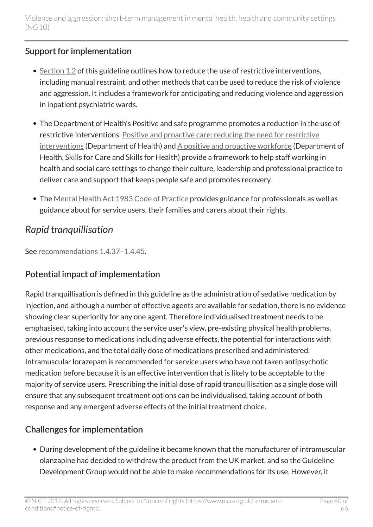### Support for implementation

- $\bullet$  [Section](http://live-publications.nice.org.uk/recommendations#anticipating-and-reducing-the-risk-of-violence-and-aggression-2) 1.2 of this guideline outlines how to reduce the use of restrictive interventions, including manual restraint, and other methods that can be used to reduce the risk of violence and aggression. It includes a framework for anticipating and reducing violence and aggression in inpatient psychiatric wards.
- The Department of Health's Positive and safe programme promotes a reduction in the use of restrictive interventions. [Positive and proactive care: reducing the need for restrictive](https://www.gov.uk/government/publications/positive-and-proactive-care-reducing-restrictive-interventions) [interventions](https://www.gov.uk/government/publications/positive-and-proactive-care-reducing-restrictive-interventions) (Department of Health) and [A positive and proactive workforce](http://www.skillsforcare.org.uk/Skills/Restrictive-practices/Restrictive-practices.aspx) (Department of Health, Skills for Care and Skills for Health) provide a framework to help staff working in health and social care settings to change their culture, leadership and professional practice to deliver care and support that keeps people safe and promotes recovery.
- The [Mental Health Act 1983 Code of Practice](https://www.gov.uk/government/publications/code-of-practice-mental-health-act-1983) provides guidance for professionals as well as guidance about for service users, their families and carers about their rights.

## <span id="page-59-0"></span>*Rapid tranquillisation*

See [recommendations](http://live-publications.nice.org.uk/recommendations#_Ref398647936) 1.4.37–1.4.45.

### Potential impact of implementation

Rapid tranquillisation is defined in this guideline as the administration of sedative medication by injection, and although a number of effective agents are available for sedation, there is no evidence showing clear superiority for any one agent. Therefore individualised treatment needs to be emphasised, taking into account the service user's view, pre-existing physical health problems, previous response to medications including adverse effects, the potential for interactions with other medications, and the total daily dose of medications prescribed and administered. Intramuscular lorazepam is recommended for service users who have not taken antipsychotic medication before because it is an effective intervention that is likely to be acceptable to the majority of service users. Prescribing the initial dose of rapid tranquillisation as a single dose will ensure that any subsequent treatment options can be individualised, taking account of both response and any emergent adverse effects of the initial treatment choice.

## Challenges for implementation

During development of the guideline it became known that the manufacturer of intramuscular olanzapine had decided to withdraw the product from the UK market, and so the Guideline Development Group would not be able to make recommendations for its use. However, it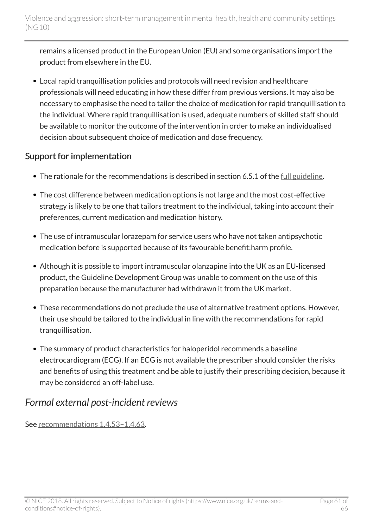remains a licensed product in the European Union (EU) and some organisations import the product from elsewhere in the EU.

Local rapid tranquillisation policies and protocols will need revision and healthcare professionals will need educating in how these differ from previous versions. It may also be necessary to emphasise the need to tailor the choice of medication for rapid tranquillisation to the individual. Where rapid tranquillisation is used, adequate numbers of skilled staff should be available to monitor the outcome of the intervention in order to make an individualised decision about subsequent choice of medication and dose frequency.

### Support for implementation

- The rationale for the recommendations is described in section 6.5.1 of the [full guideline.](http://www.nice.org.uk/guidance/ng10/Evidence)
- The cost difference between medication options is not large and the most cost-effective strategy is likely to be one that tailors treatment to the individual, taking into account their preferences, current medication and medication history.
- The use of intramuscular lorazepam for service users who have not taken antipsychotic medication before is supported because of its favourable benefit:harm profile.
- Although it is possible to import intramuscular olanzapine into the UK as an EU-licensed product, the Guideline Development Group was unable to comment on the use of this preparation because the manufacturer had withdrawn it from the UK market.
- These recommendations do not preclude the use of alternative treatment options. However, their use should be tailored to the individual in line with the recommendations for rapid tranquillisation.
- The summary of product characteristics for haloperidol recommends a baseline electrocardiogram (ECG). If an ECG is not available the prescriber should consider the risks and benefits of using this treatment and be able to justify their prescribing decision, because it may be considered an off-label use.

## <span id="page-60-0"></span>*Formal external post-incident reviews*

See [recommendations](http://live-publications.nice.org.uk/recommendations#postincident-debrief-and-formal-review) 1.4.53–1.4.63.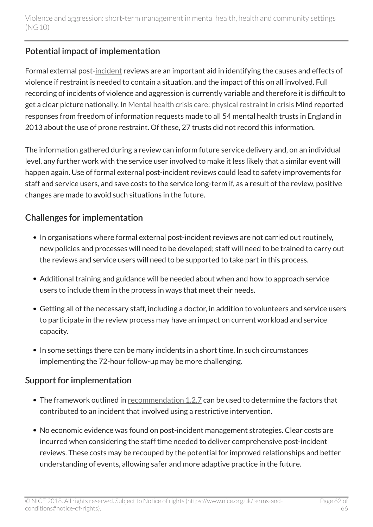## Potential impact of implementation

Formal external post[-incident](http://live-publications.nice.org.uk/recommendations#terms-used-in-this-guideline) reviews are an important aid in identifying the causes and effects of violence if restraint is needed to contain a situation, and the impact of this on all involved. Full recording of incidents of violence and aggression is currently variable and therefore it is difficult to get a clear picture nationally. In [Mental health crisis care: physical restraint in crisis](http://www.mind.org.uk/news-campaigns/campaigns/crisis-care/about-the-campaign/?ctaId=/news-campaigns/campaigns/crisis-care/crisis-care-slices/we-need-excellent-crisis-care/) Mind reported responses from freedom of information requests made to all 54 mental health trusts in England in 2013 about the use of prone restraint. Of these, 27 trusts did not record this information.

The information gathered during a review can inform future service delivery and, on an individual level, any further work with the service user involved to make it less likely that a similar event will happen again. Use of formal external post-incident reviews could lead to safety improvements for staff and service users, and save costs to the service long-term if, as a result of the review, positive changes are made to avoid such situations in the future.

## Challenges for implementation

- In organisations where formal external post-incident reviews are not carried out routinely, new policies and processes will need to be developed; staff will need to be trained to carry out the reviews and service users will need to be supported to take part in this process.
- Additional training and guidance will be needed about when and how to approach service users to include them in the process in ways that meet their needs.
- Getting all of the necessary staff, including a doctor, in addition to volunteers and service users to participate in the review process may have an impact on current workload and service capacity.
- In some settings there can be many incidents in a short time. In such circumstances implementing the 72-hour follow-up may be more challenging.

## Support for implementation

- The framework outlined in [recommendation](http://live-publications.nice.org.uk/recommendations#_Ref398629147) 1.2.7 can be used to determine the factors that contributed to an incident that involved using a restrictive intervention.
- No economic evidence was found on post-incident management strategies. Clear costs are incurred when considering the staff time needed to deliver comprehensive post-incident reviews. These costs may be recouped by the potential for improved relationships and better understanding of events, allowing safer and more adaptive practice in the future.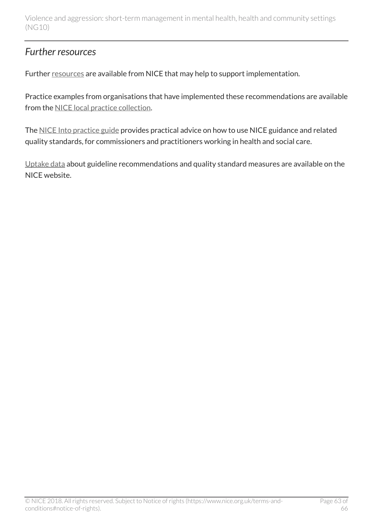## <span id="page-62-0"></span>*Further resources*

Further [resources](http://www.nice.org.uk/guidance/NG10/Resources) are available from NICE that may help to support implementation.

Practice examples from organisations that have implemented these recommendations are available from the [NICE local practice collection](http://www.nice.org.uk/proxy/?sourceUrl=http%3a%2f%2fwww.nice.org.uk%2flocalPractice%2fcollection).

The [NICE Into practice guide](http://www.nice.org.uk/about/what-we-do/into-practice/into-practice-guide) provides practical advice on how to use NICE guidance and related quality standards, for commissioners and practitioners working in health and social care.

[Uptake data](http://www.nice.org.uk/uptake) about guideline recommendations and quality standard measures are available on the NICE website.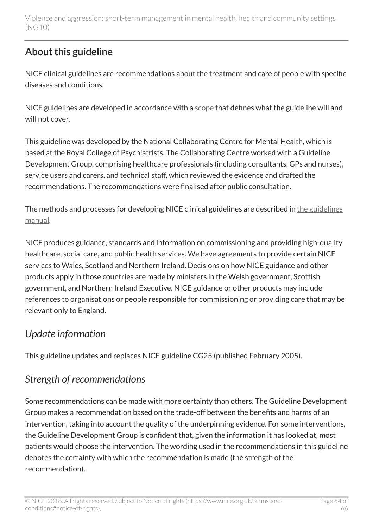## <span id="page-63-0"></span>About this guideline

NICE clinical guidelines are recommendations about the treatment and care of people with specific diseases and conditions.

NICE guidelines are developed in accordance with a [scope](http://www.nice.org.uk/guidance/ng10/documents) that defines what the guideline will and will not cover.

This guideline was developed by the National Collaborating Centre for Mental Health, which is based at the Royal College of Psychiatrists. The Collaborating Centre worked with a Guideline Development Group, comprising healthcare professionals (including consultants, GPs and nurses), service users and carers, and technical staff, which reviewed the evidence and drafted the recommendations. The recommendations were finalised after public consultation.

The methods and processes for developing NICE clinical guidelines are described in [the guidelines](http://www.nice.org.uk/About/What-we-do/Our-Programmes/NICE-guidance/NICE-guidelines/NICE-clinical-guidelines) [manual](http://www.nice.org.uk/About/What-we-do/Our-Programmes/NICE-guidance/NICE-guidelines/NICE-clinical-guidelines).

NICE produces guidance, standards and information on commissioning and providing high-quality healthcare, social care, and public health services. We have agreements to provide certain NICE services to Wales, Scotland and Northern Ireland. Decisions on how NICE guidance and other products apply in those countries are made by ministers in the Welsh government, Scottish government, and Northern Ireland Executive. NICE guidance or other products may include references to organisations or people responsible for commissioning or providing care that may be relevant only to England.

## <span id="page-63-1"></span>*Update information*

This guideline updates and replaces NICE guideline CG25 (published February 2005).

## <span id="page-63-2"></span>*Strength of recommendations*

Some recommendations can be made with more certainty than others. The Guideline Development Group makes a recommendation based on the trade-off between the benefits and harms of an intervention, taking into account the quality of the underpinning evidence. For some interventions, the Guideline Development Group is confident that, given the information it has looked at, most patients would choose the intervention. The wording used in the recommendations in this guideline denotes the certainty with which the recommendation is made (the strength of the recommendation).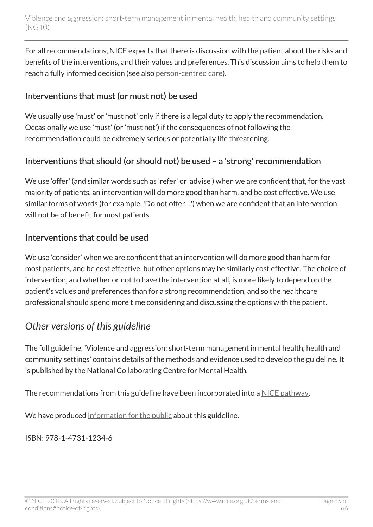For all recommendations, NICE expects that there is discussion with the patient about the risks and benefits of the interventions, and their values and preferences. This discussion aims to help them to reach a fully informed decision (see also [person-centred care](http://live-publications.nice.org.uk/person-centred-care#person-centred-care)).

### Interventions that must (or must not) be used

We usually use 'must' or 'must not' only if there is a legal duty to apply the recommendation. Occasionally we use 'must' (or 'must not') if the consequences of not following the recommendation could be extremely serious or potentially life threatening.

## Interventions that should (or should not) be used – a 'strong' recommendation

We use 'offer' (and similar words such as 'refer' or 'advise') when we are confident that, for the vast majority of patients, an intervention will do more good than harm, and be cost effective. We use similar forms of words (for example, 'Do not offer…') when we are confident that an intervention will not be of benefit for most patients.

### Interventions that could be used

We use 'consider' when we are confident that an intervention will do more good than harm for most patients, and be cost effective, but other options may be similarly cost effective. The choice of intervention, and whether or not to have the intervention at all, is more likely to depend on the patient's values and preferences than for a strong recommendation, and so the healthcare professional should spend more time considering and discussing the options with the patient.

## <span id="page-64-0"></span>*Other versions of this guideline*

The full guideline, 'Violence and aggression: short-term management in mental health, health and community settings' contains details of the methods and evidence used to develop the guideline. It is published by the National Collaborating Centre for Mental Health.

The recommendations from this guideline have been incorporated into a [NICE pathway](http://www.pathways.nice.org.uk/pathways/violence-and-aggression).

We have produced [information for the public](http://www.nice.org.uk/guidance/ng10/informationforpublic) about this guideline.

ISBN: 978-1-4731-1234-6